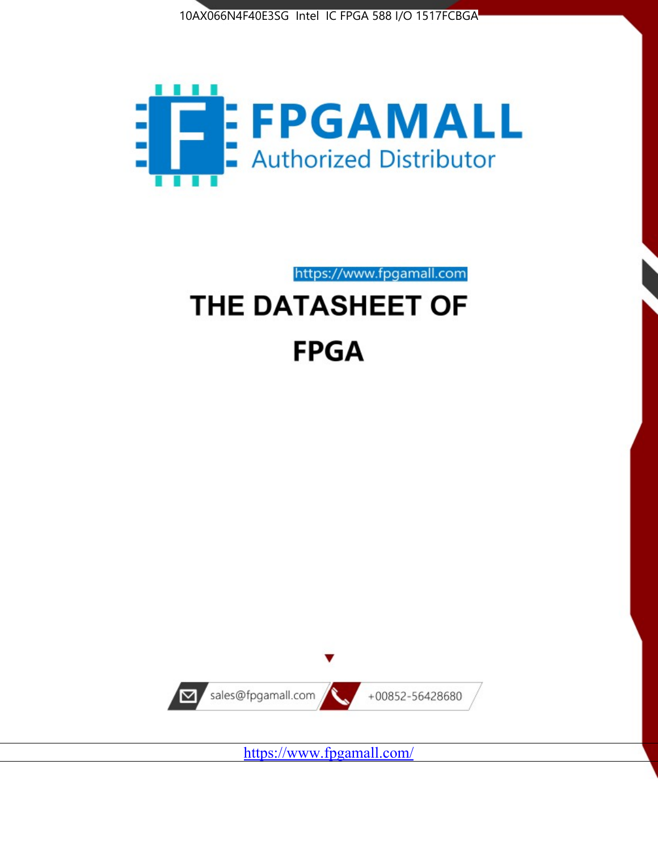



https://www.fpgamall.com

# THE DATASHEET OF **FPGA**



<https://www.fpgamall.com/>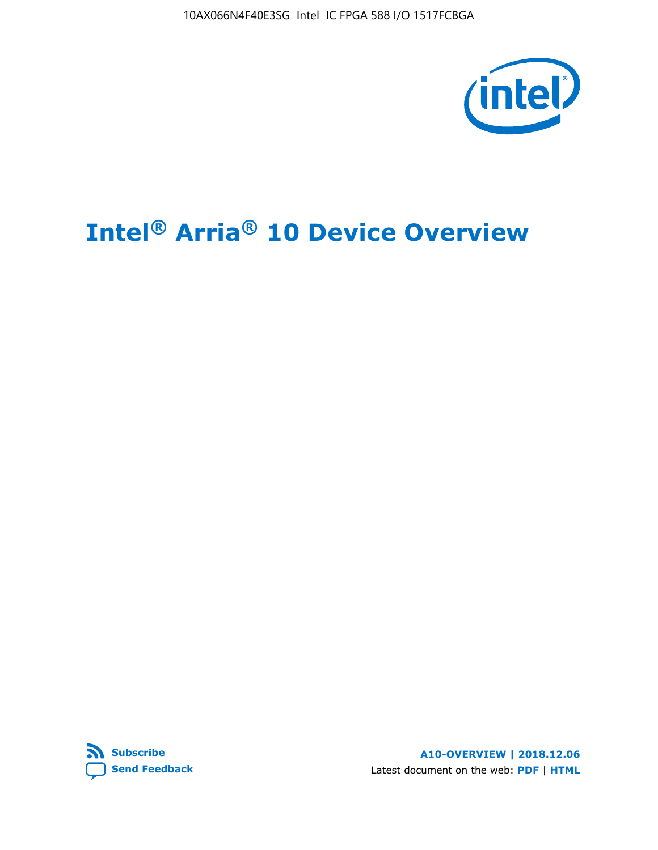10AX066N4F40E3SG Intel IC FPGA 588 I/O 1517FCBGA



# **Intel® Arria® 10 Device Overview**



**A10-OVERVIEW | 2018.12.06** Latest document on the web: **[PDF](https://www.intel.com/content/dam/www/programmable/us/en/pdfs/literature/hb/arria-10/a10_overview.pdf)** | **[HTML](https://www.intel.com/content/www/us/en/programmable/documentation/sam1403480274650.html)**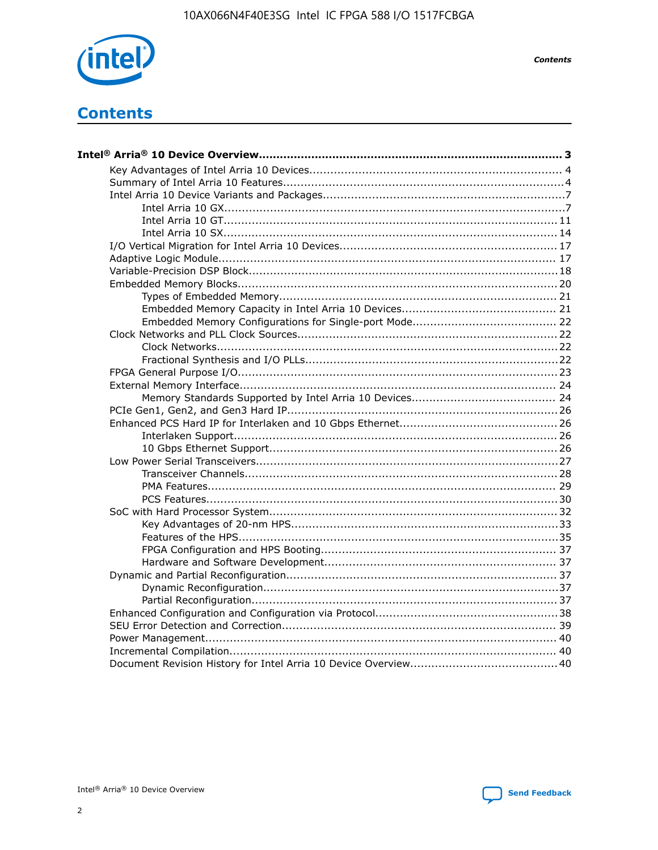

**Contents** 

# **Contents**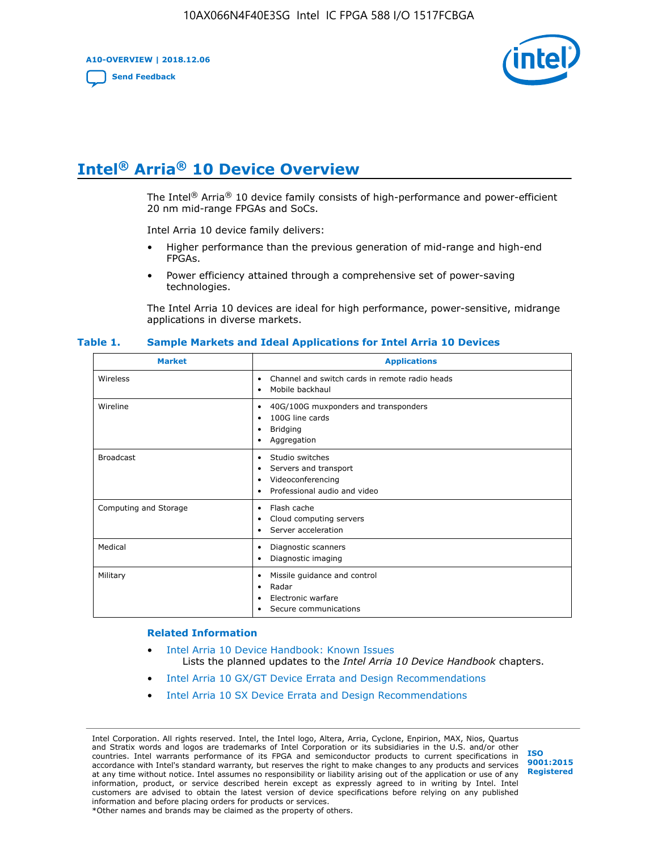**A10-OVERVIEW | 2018.12.06**

**[Send Feedback](mailto:FPGAtechdocfeedback@intel.com?subject=Feedback%20on%20Intel%20Arria%2010%20Device%20Overview%20(A10-OVERVIEW%202018.12.06)&body=We%20appreciate%20your%20feedback.%20In%20your%20comments,%20also%20specify%20the%20page%20number%20or%20paragraph.%20Thank%20you.)**



# **Intel® Arria® 10 Device Overview**

The Intel<sup>®</sup> Arria<sup>®</sup> 10 device family consists of high-performance and power-efficient 20 nm mid-range FPGAs and SoCs.

Intel Arria 10 device family delivers:

- Higher performance than the previous generation of mid-range and high-end FPGAs.
- Power efficiency attained through a comprehensive set of power-saving technologies.

The Intel Arria 10 devices are ideal for high performance, power-sensitive, midrange applications in diverse markets.

| <b>Market</b>         | <b>Applications</b>                                                                                               |
|-----------------------|-------------------------------------------------------------------------------------------------------------------|
| Wireless              | Channel and switch cards in remote radio heads<br>٠<br>Mobile backhaul<br>٠                                       |
| Wireline              | 40G/100G muxponders and transponders<br>٠<br>100G line cards<br>٠<br><b>Bridging</b><br>٠<br>Aggregation<br>٠     |
| <b>Broadcast</b>      | Studio switches<br>٠<br>Servers and transport<br>٠<br>Videoconferencing<br>٠<br>Professional audio and video<br>٠ |
| Computing and Storage | Flash cache<br>٠<br>Cloud computing servers<br>٠<br>Server acceleration<br>٠                                      |
| Medical               | Diagnostic scanners<br>٠<br>Diagnostic imaging<br>٠                                                               |
| Military              | Missile guidance and control<br>٠<br>Radar<br>٠<br>Electronic warfare<br>٠<br>Secure communications<br>٠          |

#### **Table 1. Sample Markets and Ideal Applications for Intel Arria 10 Devices**

#### **Related Information**

- [Intel Arria 10 Device Handbook: Known Issues](http://www.altera.com/support/kdb/solutions/rd07302013_646.html) Lists the planned updates to the *Intel Arria 10 Device Handbook* chapters.
- [Intel Arria 10 GX/GT Device Errata and Design Recommendations](https://www.intel.com/content/www/us/en/programmable/documentation/agz1493851706374.html#yqz1494433888646)
- [Intel Arria 10 SX Device Errata and Design Recommendations](https://www.intel.com/content/www/us/en/programmable/documentation/cru1462832385668.html#cru1462832558642)

Intel Corporation. All rights reserved. Intel, the Intel logo, Altera, Arria, Cyclone, Enpirion, MAX, Nios, Quartus and Stratix words and logos are trademarks of Intel Corporation or its subsidiaries in the U.S. and/or other countries. Intel warrants performance of its FPGA and semiconductor products to current specifications in accordance with Intel's standard warranty, but reserves the right to make changes to any products and services at any time without notice. Intel assumes no responsibility or liability arising out of the application or use of any information, product, or service described herein except as expressly agreed to in writing by Intel. Intel customers are advised to obtain the latest version of device specifications before relying on any published information and before placing orders for products or services. \*Other names and brands may be claimed as the property of others.

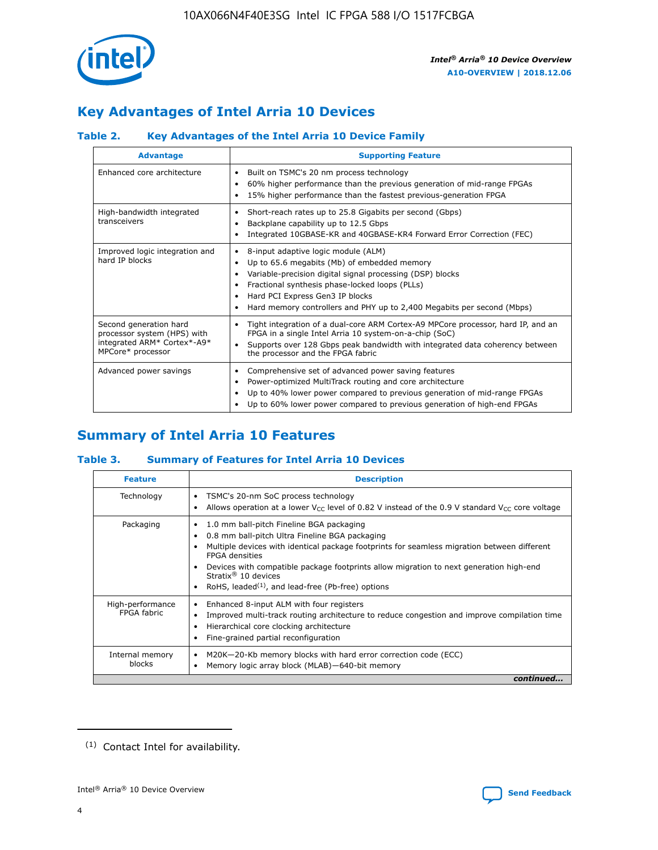

# **Key Advantages of Intel Arria 10 Devices**

# **Table 2. Key Advantages of the Intel Arria 10 Device Family**

| <b>Advantage</b>                                                                                          | <b>Supporting Feature</b>                                                                                                                                                                                                                                                                                                |
|-----------------------------------------------------------------------------------------------------------|--------------------------------------------------------------------------------------------------------------------------------------------------------------------------------------------------------------------------------------------------------------------------------------------------------------------------|
| Enhanced core architecture                                                                                | Built on TSMC's 20 nm process technology<br>٠<br>60% higher performance than the previous generation of mid-range FPGAs<br>٠<br>15% higher performance than the fastest previous-generation FPGA<br>٠                                                                                                                    |
| High-bandwidth integrated<br>transceivers                                                                 | Short-reach rates up to 25.8 Gigabits per second (Gbps)<br>٠<br>Backplane capability up to 12.5 Gbps<br>٠<br>Integrated 10GBASE-KR and 40GBASE-KR4 Forward Error Correction (FEC)<br>٠                                                                                                                                   |
| Improved logic integration and<br>hard IP blocks                                                          | 8-input adaptive logic module (ALM)<br>٠<br>Up to 65.6 megabits (Mb) of embedded memory<br>٠<br>Variable-precision digital signal processing (DSP) blocks<br>Fractional synthesis phase-locked loops (PLLs)<br>Hard PCI Express Gen3 IP blocks<br>Hard memory controllers and PHY up to 2,400 Megabits per second (Mbps) |
| Second generation hard<br>processor system (HPS) with<br>integrated ARM* Cortex*-A9*<br>MPCore* processor | Tight integration of a dual-core ARM Cortex-A9 MPCore processor, hard IP, and an<br>٠<br>FPGA in a single Intel Arria 10 system-on-a-chip (SoC)<br>Supports over 128 Gbps peak bandwidth with integrated data coherency between<br>$\bullet$<br>the processor and the FPGA fabric                                        |
| Advanced power savings                                                                                    | Comprehensive set of advanced power saving features<br>٠<br>Power-optimized MultiTrack routing and core architecture<br>٠<br>Up to 40% lower power compared to previous generation of mid-range FPGAs<br>Up to 60% lower power compared to previous generation of high-end FPGAs                                         |

# **Summary of Intel Arria 10 Features**

## **Table 3. Summary of Features for Intel Arria 10 Devices**

| <b>Feature</b>                  | <b>Description</b>                                                                                                                                                                                                                                                                                                                                                                                       |
|---------------------------------|----------------------------------------------------------------------------------------------------------------------------------------------------------------------------------------------------------------------------------------------------------------------------------------------------------------------------------------------------------------------------------------------------------|
| Technology                      | TSMC's 20-nm SoC process technology<br>٠<br>Allows operation at a lower $V_{\text{CC}}$ level of 0.82 V instead of the 0.9 V standard $V_{\text{CC}}$ core voltage                                                                                                                                                                                                                                       |
| Packaging                       | 1.0 mm ball-pitch Fineline BGA packaging<br>0.8 mm ball-pitch Ultra Fineline BGA packaging<br>Multiple devices with identical package footprints for seamless migration between different<br><b>FPGA</b> densities<br>Devices with compatible package footprints allow migration to next generation high-end<br>Stratix $\mathcal{R}$ 10 devices<br>RoHS, leaded $(1)$ , and lead-free (Pb-free) options |
| High-performance<br>FPGA fabric | Enhanced 8-input ALM with four registers<br>٠<br>Improved multi-track routing architecture to reduce congestion and improve compilation time<br>Hierarchical core clocking architecture<br>Fine-grained partial reconfiguration                                                                                                                                                                          |
| Internal memory<br>blocks       | M20K-20-Kb memory blocks with hard error correction code (ECC)<br>Memory logic array block (MLAB)-640-bit memory                                                                                                                                                                                                                                                                                         |
|                                 | continued                                                                                                                                                                                                                                                                                                                                                                                                |



<sup>(1)</sup> Contact Intel for availability.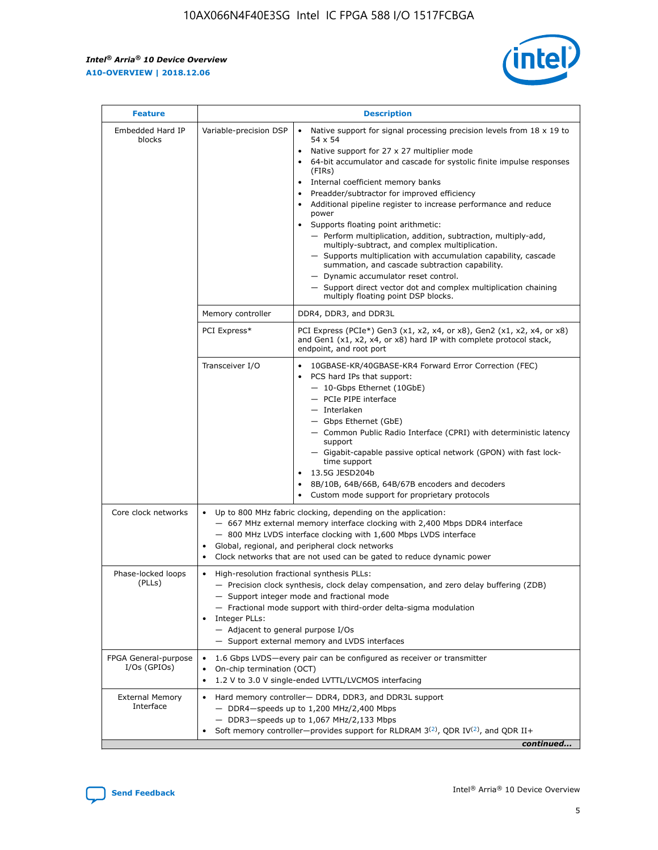r



| <b>Feature</b>                         |                                                                                                                                                                                                                                                                         | <b>Description</b>                                                                                                                                                                                                                                                                                                                                                                                                                                                                                                                                                                                                                                                                                                                                                                                                                                                            |  |  |  |  |
|----------------------------------------|-------------------------------------------------------------------------------------------------------------------------------------------------------------------------------------------------------------------------------------------------------------------------|-------------------------------------------------------------------------------------------------------------------------------------------------------------------------------------------------------------------------------------------------------------------------------------------------------------------------------------------------------------------------------------------------------------------------------------------------------------------------------------------------------------------------------------------------------------------------------------------------------------------------------------------------------------------------------------------------------------------------------------------------------------------------------------------------------------------------------------------------------------------------------|--|--|--|--|
| Embedded Hard IP<br>blocks             | Variable-precision DSP                                                                                                                                                                                                                                                  | Native support for signal processing precision levels from $18 \times 19$ to<br>$\bullet$<br>54 x 54<br>Native support for 27 x 27 multiplier mode<br>$\bullet$<br>64-bit accumulator and cascade for systolic finite impulse responses<br>$\bullet$<br>(FIRs)<br>Internal coefficient memory banks<br>$\bullet$<br>Preadder/subtractor for improved efficiency<br>Additional pipeline register to increase performance and reduce<br>power<br>Supports floating point arithmetic:<br>- Perform multiplication, addition, subtraction, multiply-add,<br>multiply-subtract, and complex multiplication.<br>- Supports multiplication with accumulation capability, cascade<br>summation, and cascade subtraction capability.<br>- Dynamic accumulator reset control.<br>- Support direct vector dot and complex multiplication chaining<br>multiply floating point DSP blocks. |  |  |  |  |
|                                        | Memory controller                                                                                                                                                                                                                                                       | DDR4, DDR3, and DDR3L                                                                                                                                                                                                                                                                                                                                                                                                                                                                                                                                                                                                                                                                                                                                                                                                                                                         |  |  |  |  |
|                                        | PCI Express*                                                                                                                                                                                                                                                            | PCI Express (PCIe*) Gen3 (x1, x2, x4, or x8), Gen2 (x1, x2, x4, or x8)<br>and Gen1 (x1, x2, x4, or x8) hard IP with complete protocol stack,<br>endpoint, and root port                                                                                                                                                                                                                                                                                                                                                                                                                                                                                                                                                                                                                                                                                                       |  |  |  |  |
|                                        | Transceiver I/O                                                                                                                                                                                                                                                         | 10GBASE-KR/40GBASE-KR4 Forward Error Correction (FEC)<br>PCS hard IPs that support:<br>٠<br>- 10-Gbps Ethernet (10GbE)<br>- PCIe PIPE interface<br>- Interlaken<br>- Gbps Ethernet (GbE)<br>- Common Public Radio Interface (CPRI) with deterministic latency<br>support<br>- Gigabit-capable passive optical network (GPON) with fast lock-<br>time support<br>13.5G JESD204b<br>$\bullet$<br>8B/10B, 64B/66B, 64B/67B encoders and decoders<br>$\bullet$<br>Custom mode support for proprietary protocols                                                                                                                                                                                                                                                                                                                                                                   |  |  |  |  |
| Core clock networks                    | $\bullet$                                                                                                                                                                                                                                                               | Up to 800 MHz fabric clocking, depending on the application:<br>- 667 MHz external memory interface clocking with 2,400 Mbps DDR4 interface<br>- 800 MHz LVDS interface clocking with 1,600 Mbps LVDS interface<br>Global, regional, and peripheral clock networks<br>Clock networks that are not used can be gated to reduce dynamic power                                                                                                                                                                                                                                                                                                                                                                                                                                                                                                                                   |  |  |  |  |
| Phase-locked loops<br>(PLLs)           | High-resolution fractional synthesis PLLs:<br>٠<br>Integer PLLs:<br>- Adjacent to general purpose I/Os                                                                                                                                                                  | - Precision clock synthesis, clock delay compensation, and zero delay buffering (ZDB)<br>- Support integer mode and fractional mode<br>- Fractional mode support with third-order delta-sigma modulation<br>- Support external memory and LVDS interfaces                                                                                                                                                                                                                                                                                                                                                                                                                                                                                                                                                                                                                     |  |  |  |  |
| FPGA General-purpose<br>$I/Os$ (GPIOs) | ٠                                                                                                                                                                                                                                                                       | 1.6 Gbps LVDS-every pair can be configured as receiver or transmitter<br>On-chip termination (OCT)<br>1.2 V to 3.0 V single-ended LVTTL/LVCMOS interfacing                                                                                                                                                                                                                                                                                                                                                                                                                                                                                                                                                                                                                                                                                                                    |  |  |  |  |
| <b>External Memory</b><br>Interface    | Hard memory controller- DDR4, DDR3, and DDR3L support<br>$\bullet$<br>- DDR4-speeds up to 1,200 MHz/2,400 Mbps<br>- DDR3-speeds up to 1,067 MHz/2,133 Mbps<br>Soft memory controller—provides support for RLDRAM $3^{(2)}$ , QDR IV $^{(2)}$ , and QDR II+<br>continued |                                                                                                                                                                                                                                                                                                                                                                                                                                                                                                                                                                                                                                                                                                                                                                                                                                                                               |  |  |  |  |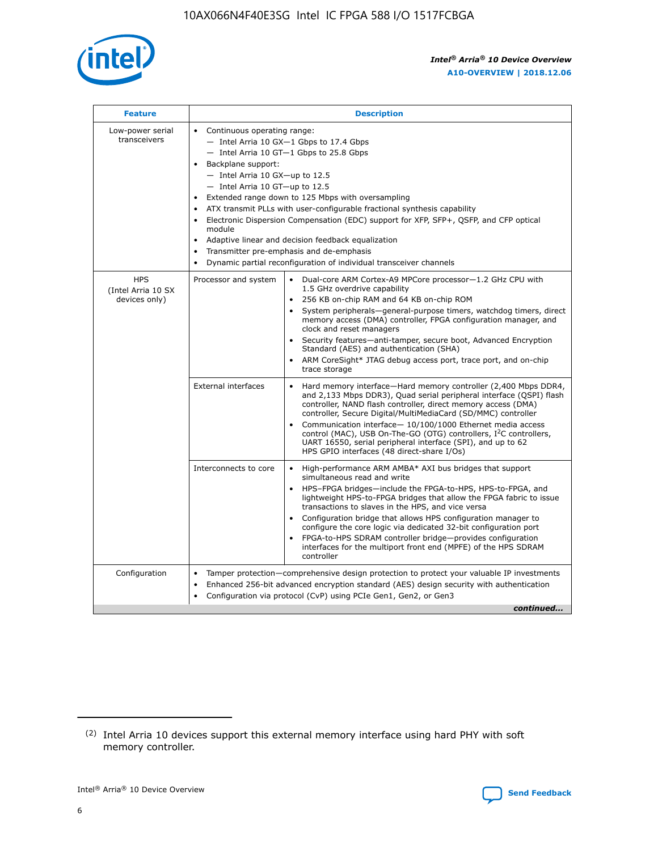

| <b>Feature</b>                                    | <b>Description</b>                                                                                                                                                                                                                                                                                                                                                                                                                                                                                                                                                                                                                           |  |  |  |  |  |  |  |  |
|---------------------------------------------------|----------------------------------------------------------------------------------------------------------------------------------------------------------------------------------------------------------------------------------------------------------------------------------------------------------------------------------------------------------------------------------------------------------------------------------------------------------------------------------------------------------------------------------------------------------------------------------------------------------------------------------------------|--|--|--|--|--|--|--|--|
| Low-power serial<br>transceivers                  | • Continuous operating range:<br>- Intel Arria 10 GX-1 Gbps to 17.4 Gbps<br>- Intel Arria 10 GT-1 Gbps to 25.8 Gbps<br>Backplane support:<br>$-$ Intel Arria 10 GX-up to 12.5<br>- Intel Arria 10 GT-up to 12.5<br>Extended range down to 125 Mbps with oversampling<br>ATX transmit PLLs with user-configurable fractional synthesis capability<br>• Electronic Dispersion Compensation (EDC) support for XFP, SFP+, QSFP, and CFP optical<br>module<br>• Adaptive linear and decision feedback equalization<br>Transmitter pre-emphasis and de-emphasis<br>$\bullet$<br>Dynamic partial reconfiguration of individual transceiver channels |  |  |  |  |  |  |  |  |
| <b>HPS</b><br>(Intel Arria 10 SX<br>devices only) | Dual-core ARM Cortex-A9 MPCore processor-1.2 GHz CPU with<br>Processor and system<br>$\bullet$<br>1.5 GHz overdrive capability<br>256 KB on-chip RAM and 64 KB on-chip ROM<br>System peripherals-general-purpose timers, watchdog timers, direct<br>memory access (DMA) controller, FPGA configuration manager, and<br>clock and reset managers<br>• Security features—anti-tamper, secure boot, Advanced Encryption<br>Standard (AES) and authentication (SHA)<br>ARM CoreSight* JTAG debug access port, trace port, and on-chip<br>trace storage                                                                                           |  |  |  |  |  |  |  |  |
|                                                   | <b>External interfaces</b><br>Hard memory interface—Hard memory controller (2,400 Mbps DDR4,<br>$\bullet$<br>and 2,133 Mbps DDR3), Quad serial peripheral interface (QSPI) flash<br>controller, NAND flash controller, direct memory access (DMA)<br>controller, Secure Digital/MultiMediaCard (SD/MMC) controller<br>Communication interface-10/100/1000 Ethernet media access<br>control (MAC), USB On-The-GO (OTG) controllers, I <sup>2</sup> C controllers,<br>UART 16550, serial peripheral interface (SPI), and up to 62<br>HPS GPIO interfaces (48 direct-share I/Os)                                                                |  |  |  |  |  |  |  |  |
|                                                   | High-performance ARM AMBA* AXI bus bridges that support<br>Interconnects to core<br>$\bullet$<br>simultaneous read and write<br>HPS-FPGA bridges—include the FPGA-to-HPS, HPS-to-FPGA, and<br>lightweight HPS-to-FPGA bridges that allow the FPGA fabric to issue<br>transactions to slaves in the HPS, and vice versa<br>Configuration bridge that allows HPS configuration manager to<br>configure the core logic via dedicated 32-bit configuration port<br>FPGA-to-HPS SDRAM controller bridge-provides configuration<br>interfaces for the multiport front end (MPFE) of the HPS SDRAM<br>controller                                    |  |  |  |  |  |  |  |  |
| Configuration                                     | Tamper protection—comprehensive design protection to protect your valuable IP investments<br>Enhanced 256-bit advanced encryption standard (AES) design security with authentication<br>٠<br>Configuration via protocol (CvP) using PCIe Gen1, Gen2, or Gen3<br>continued                                                                                                                                                                                                                                                                                                                                                                    |  |  |  |  |  |  |  |  |

<sup>(2)</sup> Intel Arria 10 devices support this external memory interface using hard PHY with soft memory controller.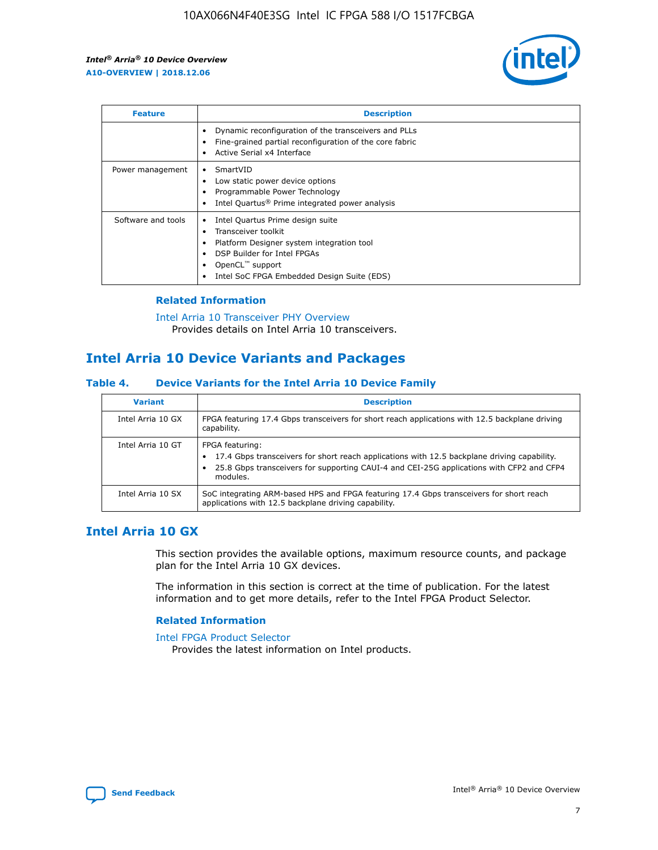

| <b>Feature</b>     | <b>Description</b>                                                                                                                                                                                                            |
|--------------------|-------------------------------------------------------------------------------------------------------------------------------------------------------------------------------------------------------------------------------|
|                    | Dynamic reconfiguration of the transceivers and PLLs<br>Fine-grained partial reconfiguration of the core fabric<br>Active Serial x4 Interface<br>$\bullet$                                                                    |
| Power management   | SmartVID<br>Low static power device options<br>Programmable Power Technology<br>Intel Quartus <sup>®</sup> Prime integrated power analysis                                                                                    |
| Software and tools | Intel Quartus Prime design suite<br>Transceiver toolkit<br>$\bullet$<br>Platform Designer system integration tool<br>DSP Builder for Intel FPGAs<br>OpenCL <sup>™</sup> support<br>Intel SoC FPGA Embedded Design Suite (EDS) |

## **Related Information**

[Intel Arria 10 Transceiver PHY Overview](https://www.intel.com/content/www/us/en/programmable/documentation/nik1398707230472.html#nik1398706768037) Provides details on Intel Arria 10 transceivers.

# **Intel Arria 10 Device Variants and Packages**

#### **Table 4. Device Variants for the Intel Arria 10 Device Family**

| <b>Variant</b>    | <b>Description</b>                                                                                                                                                                                                     |
|-------------------|------------------------------------------------------------------------------------------------------------------------------------------------------------------------------------------------------------------------|
| Intel Arria 10 GX | FPGA featuring 17.4 Gbps transceivers for short reach applications with 12.5 backplane driving<br>capability.                                                                                                          |
| Intel Arria 10 GT | FPGA featuring:<br>17.4 Gbps transceivers for short reach applications with 12.5 backplane driving capability.<br>25.8 Gbps transceivers for supporting CAUI-4 and CEI-25G applications with CFP2 and CFP4<br>modules. |
| Intel Arria 10 SX | SoC integrating ARM-based HPS and FPGA featuring 17.4 Gbps transceivers for short reach<br>applications with 12.5 backplane driving capability.                                                                        |

# **Intel Arria 10 GX**

This section provides the available options, maximum resource counts, and package plan for the Intel Arria 10 GX devices.

The information in this section is correct at the time of publication. For the latest information and to get more details, refer to the Intel FPGA Product Selector.

#### **Related Information**

#### [Intel FPGA Product Selector](http://www.altera.com/products/selector/psg-selector.html) Provides the latest information on Intel products.

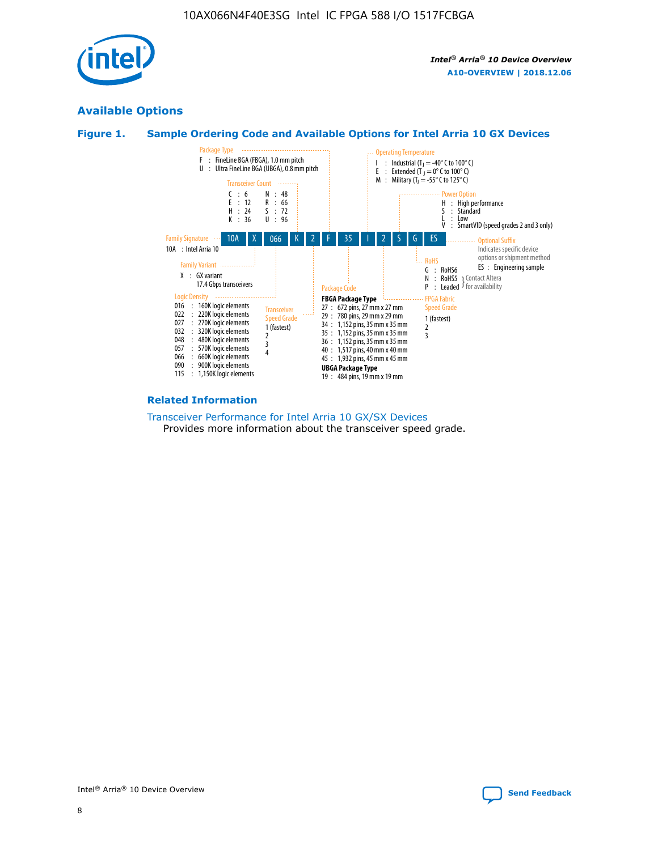

# **Available Options**





#### **Related Information**

[Transceiver Performance for Intel Arria 10 GX/SX Devices](https://www.intel.com/content/www/us/en/programmable/documentation/mcn1413182292568.html#mcn1413213965502) Provides more information about the transceiver speed grade.

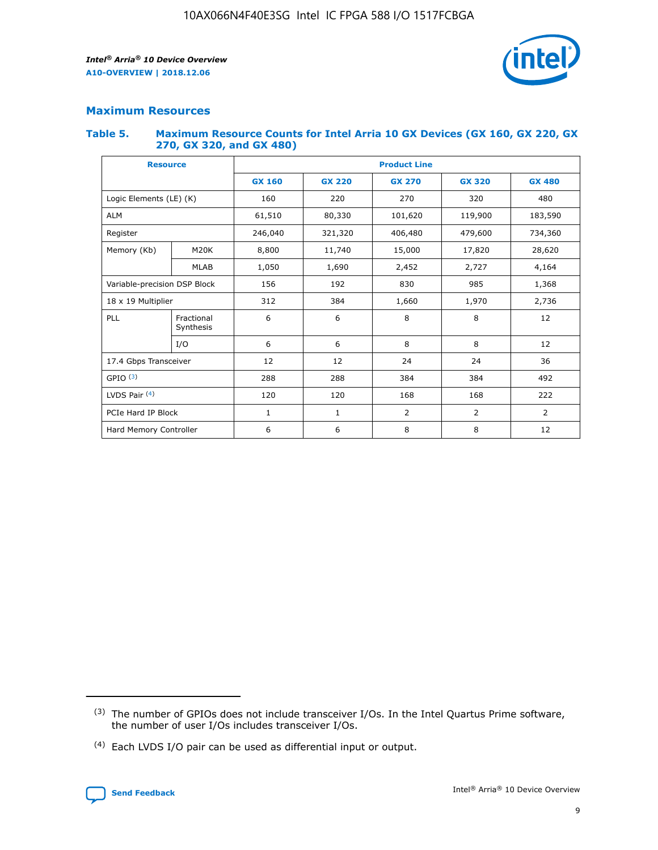

# **Maximum Resources**

#### **Table 5. Maximum Resource Counts for Intel Arria 10 GX Devices (GX 160, GX 220, GX 270, GX 320, and GX 480)**

| <b>Resource</b>              |                         | <b>Product Line</b> |                                                 |                |                |                |  |  |
|------------------------------|-------------------------|---------------------|-------------------------------------------------|----------------|----------------|----------------|--|--|
|                              |                         | <b>GX 160</b>       | <b>GX 220</b><br><b>GX 270</b><br><b>GX 320</b> |                |                | <b>GX 480</b>  |  |  |
| Logic Elements (LE) (K)      |                         | 160                 | 220                                             | 270            | 320            | 480            |  |  |
| <b>ALM</b>                   |                         | 61,510              | 80,330                                          | 101,620        | 119,900        | 183,590        |  |  |
| Register                     |                         | 246,040             | 321,320                                         | 406,480        | 479,600        | 734,360        |  |  |
| Memory (Kb)                  | M <sub>20</sub> K       | 8,800               | 11,740                                          | 15,000         | 17,820         | 28,620         |  |  |
|                              | <b>MLAB</b>             | 1,050               | 1,690                                           | 2,452<br>2,727 |                | 4,164          |  |  |
| Variable-precision DSP Block |                         | 156                 | 192                                             | 830            | 985            |                |  |  |
| 18 x 19 Multiplier           |                         | 312                 | 384                                             | 1,660<br>1,970 |                | 2,736          |  |  |
| PLL                          | Fractional<br>Synthesis | 6                   | 6                                               | 8              | 8              | 12             |  |  |
|                              | I/O                     | 6                   | 6                                               | 8              | 8              | 12             |  |  |
| 17.4 Gbps Transceiver        |                         | 12                  | 12                                              | 24             | 24             | 36             |  |  |
| GPIO <sup>(3)</sup>          |                         | 288                 | 288                                             | 384            | 384            |                |  |  |
| LVDS Pair $(4)$              |                         | 120                 | 120                                             | 168            | 168            | 222            |  |  |
| PCIe Hard IP Block           |                         | $\mathbf{1}$        | 1                                               | $\overline{2}$ | $\overline{2}$ | $\overline{2}$ |  |  |
| Hard Memory Controller       |                         | 6                   | 6                                               | 8              | 8              |                |  |  |

<sup>(4)</sup> Each LVDS I/O pair can be used as differential input or output.



<sup>(3)</sup> The number of GPIOs does not include transceiver I/Os. In the Intel Quartus Prime software, the number of user I/Os includes transceiver I/Os.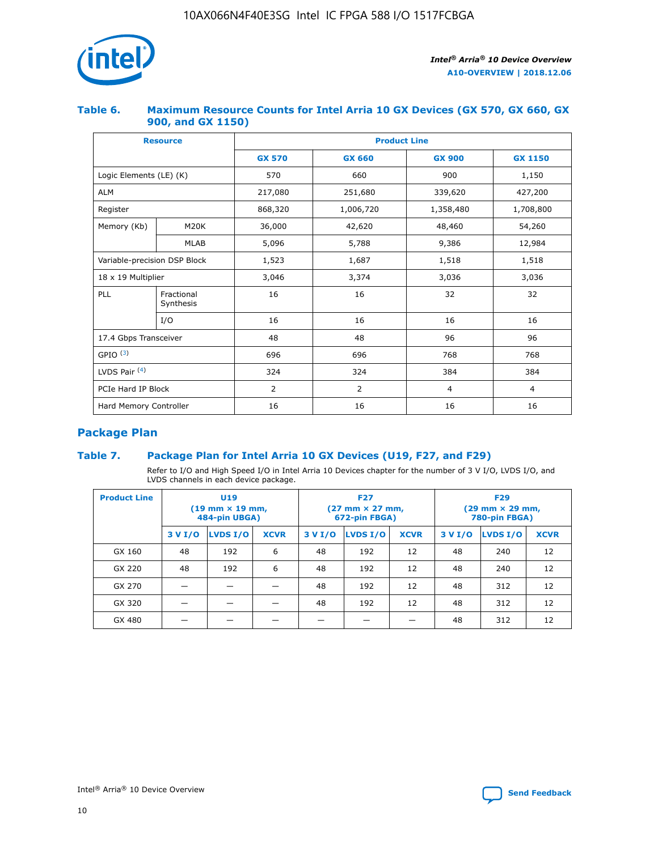

## **Table 6. Maximum Resource Counts for Intel Arria 10 GX Devices (GX 570, GX 660, GX 900, and GX 1150)**

|                              | <b>Resource</b>         | <b>Product Line</b> |                        |                |                |  |  |  |
|------------------------------|-------------------------|---------------------|------------------------|----------------|----------------|--|--|--|
|                              |                         | <b>GX 570</b>       | <b>GX 660</b>          | <b>GX 900</b>  | <b>GX 1150</b> |  |  |  |
| Logic Elements (LE) (K)      |                         | 570                 | 660                    | 900            | 1,150          |  |  |  |
| <b>ALM</b>                   |                         | 217,080             | 251,680                | 339,620        | 427,200        |  |  |  |
| Register                     |                         | 868,320             | 1,006,720<br>1,358,480 |                | 1,708,800      |  |  |  |
| Memory (Kb)                  | <b>M20K</b>             | 36,000              | 42,620                 | 48,460         | 54,260         |  |  |  |
|                              | <b>MLAB</b>             | 5,096               | 5,788                  | 9,386          | 12,984         |  |  |  |
| Variable-precision DSP Block |                         | 1,523               | 1,687                  | 1,518          | 1,518          |  |  |  |
| $18 \times 19$ Multiplier    |                         | 3,046               | 3,374                  | 3,036          | 3,036          |  |  |  |
| PLL                          | Fractional<br>Synthesis | 16                  | 16                     | 32             | 32             |  |  |  |
|                              | I/O                     | 16                  | 16                     | 16             | 16             |  |  |  |
| 17.4 Gbps Transceiver        |                         | 48                  | 48<br>96               |                | 96             |  |  |  |
| GPIO <sup>(3)</sup>          |                         | 696                 | 696                    | 768            | 768            |  |  |  |
| LVDS Pair $(4)$              |                         | 324                 | 324                    | 384            | 384            |  |  |  |
| PCIe Hard IP Block           |                         | 2                   | $\overline{2}$         | $\overline{4}$ | $\overline{4}$ |  |  |  |
| Hard Memory Controller       |                         | 16                  | 16                     | 16             | 16             |  |  |  |

# **Package Plan**

# **Table 7. Package Plan for Intel Arria 10 GX Devices (U19, F27, and F29)**

Refer to I/O and High Speed I/O in Intel Arria 10 Devices chapter for the number of 3 V I/O, LVDS I/O, and LVDS channels in each device package.

| <b>Product Line</b> | U <sub>19</sub><br>$(19 \text{ mm} \times 19 \text{ mm})$<br>484-pin UBGA) |          |             | <b>F27</b><br>(27 mm × 27 mm,<br>672-pin FBGA) |                 |             | <b>F29</b><br>(29 mm × 29 mm,<br>780-pin FBGA) |          |             |
|---------------------|----------------------------------------------------------------------------|----------|-------------|------------------------------------------------|-----------------|-------------|------------------------------------------------|----------|-------------|
|                     | 3 V I/O                                                                    | LVDS I/O | <b>XCVR</b> | 3 V I/O                                        | <b>LVDS I/O</b> | <b>XCVR</b> | 3 V I/O                                        | LVDS I/O | <b>XCVR</b> |
| GX 160              | 48                                                                         | 192      | 6           | 48                                             | 192             | 12          | 48                                             | 240      | 12          |
| GX 220              | 48                                                                         | 192      | 6           | 48                                             | 192             | 12          | 48                                             | 240      | 12          |
| GX 270              |                                                                            |          |             | 48                                             | 192             | 12          | 48                                             | 312      | 12          |
| GX 320              |                                                                            |          |             | 48                                             | 192             | 12          | 48                                             | 312      | 12          |
| GX 480              |                                                                            |          |             |                                                |                 |             | 48                                             | 312      | 12          |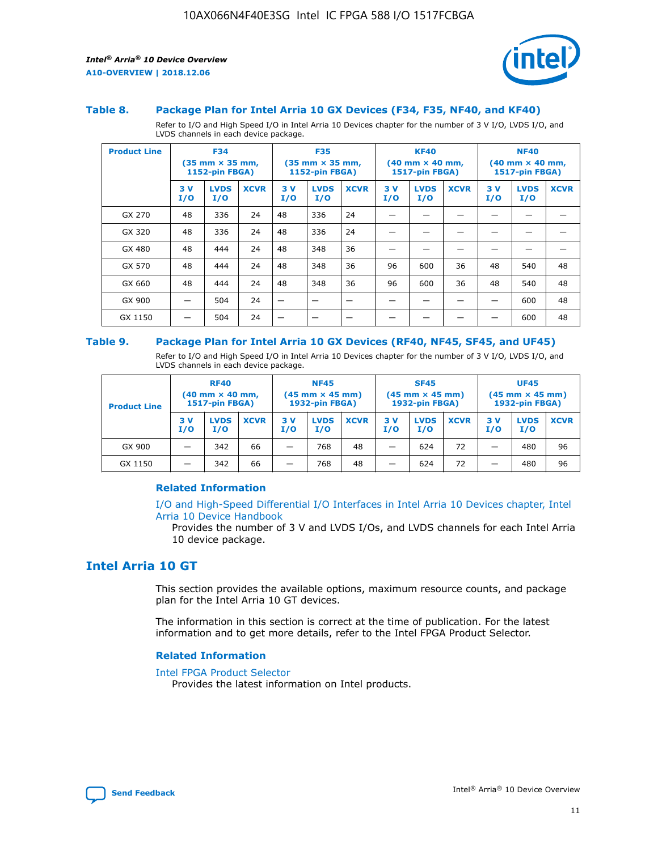

#### **Table 8. Package Plan for Intel Arria 10 GX Devices (F34, F35, NF40, and KF40)**

Refer to I/O and High Speed I/O in Intel Arria 10 Devices chapter for the number of 3 V I/O, LVDS I/O, and LVDS channels in each device package.

| <b>Product Line</b> | <b>F34</b><br>$(35 \text{ mm} \times 35 \text{ mm})$<br>1152-pin FBGA) |                    | <b>F35</b><br>$(35$ mm $\times$ 35 mm,<br><b>1152-pin FBGA)</b> |           | <b>KF40</b><br>$(40 \text{ mm} \times 40 \text{ mm})$<br>1517-pin FBGA) |             |           | <b>NF40</b><br>$(40 \text{ mm} \times 40 \text{ mm})$<br><b>1517-pin FBGA)</b> |             |            |                    |             |
|---------------------|------------------------------------------------------------------------|--------------------|-----------------------------------------------------------------|-----------|-------------------------------------------------------------------------|-------------|-----------|--------------------------------------------------------------------------------|-------------|------------|--------------------|-------------|
|                     | 3V<br>I/O                                                              | <b>LVDS</b><br>I/O | <b>XCVR</b>                                                     | 3V<br>I/O | <b>LVDS</b><br>I/O                                                      | <b>XCVR</b> | 3V<br>I/O | <b>LVDS</b><br>I/O                                                             | <b>XCVR</b> | 3 V<br>I/O | <b>LVDS</b><br>I/O | <b>XCVR</b> |
| GX 270              | 48                                                                     | 336                | 24                                                              | 48        | 336                                                                     | 24          |           |                                                                                |             |            |                    |             |
| GX 320              | 48                                                                     | 336                | 24                                                              | 48        | 336                                                                     | 24          |           |                                                                                |             |            |                    |             |
| GX 480              | 48                                                                     | 444                | 24                                                              | 48        | 348                                                                     | 36          |           |                                                                                |             |            |                    |             |
| GX 570              | 48                                                                     | 444                | 24                                                              | 48        | 348                                                                     | 36          | 96        | 600                                                                            | 36          | 48         | 540                | 48          |
| GX 660              | 48                                                                     | 444                | 24                                                              | 48        | 348                                                                     | 36          | 96        | 600                                                                            | 36          | 48         | 540                | 48          |
| GX 900              |                                                                        | 504                | 24                                                              |           |                                                                         |             |           |                                                                                |             |            | 600                | 48          |
| GX 1150             |                                                                        | 504                | 24                                                              |           |                                                                         |             |           |                                                                                |             |            | 600                | 48          |

#### **Table 9. Package Plan for Intel Arria 10 GX Devices (RF40, NF45, SF45, and UF45)**

Refer to I/O and High Speed I/O in Intel Arria 10 Devices chapter for the number of 3 V I/O, LVDS I/O, and LVDS channels in each device package.

| <b>Product Line</b> | <b>RF40</b><br>$(40$ mm $\times$ 40 mm,<br>1517-pin FBGA) |                    | <b>NF45</b><br>$(45 \text{ mm} \times 45 \text{ mm})$<br><b>1932-pin FBGA)</b> |            |                    | <b>SF45</b><br>$(45 \text{ mm} \times 45 \text{ mm})$<br><b>1932-pin FBGA)</b> |            |                    | <b>UF45</b><br>$(45 \text{ mm} \times 45 \text{ mm})$<br><b>1932-pin FBGA)</b> |           |                    |             |
|---------------------|-----------------------------------------------------------|--------------------|--------------------------------------------------------------------------------|------------|--------------------|--------------------------------------------------------------------------------|------------|--------------------|--------------------------------------------------------------------------------|-----------|--------------------|-------------|
|                     | 3V<br>I/O                                                 | <b>LVDS</b><br>I/O | <b>XCVR</b>                                                                    | 3 V<br>I/O | <b>LVDS</b><br>I/O | <b>XCVR</b>                                                                    | 3 V<br>I/O | <b>LVDS</b><br>I/O | <b>XCVR</b>                                                                    | 3V<br>I/O | <b>LVDS</b><br>I/O | <b>XCVR</b> |
| GX 900              |                                                           | 342                | 66                                                                             | _          | 768                | 48                                                                             |            | 624                | 72                                                                             |           | 480                | 96          |
| GX 1150             |                                                           | 342                | 66                                                                             | _          | 768                | 48                                                                             |            | 624                | 72                                                                             |           | 480                | 96          |

#### **Related Information**

[I/O and High-Speed Differential I/O Interfaces in Intel Arria 10 Devices chapter, Intel](https://www.intel.com/content/www/us/en/programmable/documentation/sam1403482614086.html#sam1403482030321) [Arria 10 Device Handbook](https://www.intel.com/content/www/us/en/programmable/documentation/sam1403482614086.html#sam1403482030321)

Provides the number of 3 V and LVDS I/Os, and LVDS channels for each Intel Arria 10 device package.

# **Intel Arria 10 GT**

This section provides the available options, maximum resource counts, and package plan for the Intel Arria 10 GT devices.

The information in this section is correct at the time of publication. For the latest information and to get more details, refer to the Intel FPGA Product Selector.

#### **Related Information**

#### [Intel FPGA Product Selector](http://www.altera.com/products/selector/psg-selector.html)

Provides the latest information on Intel products.

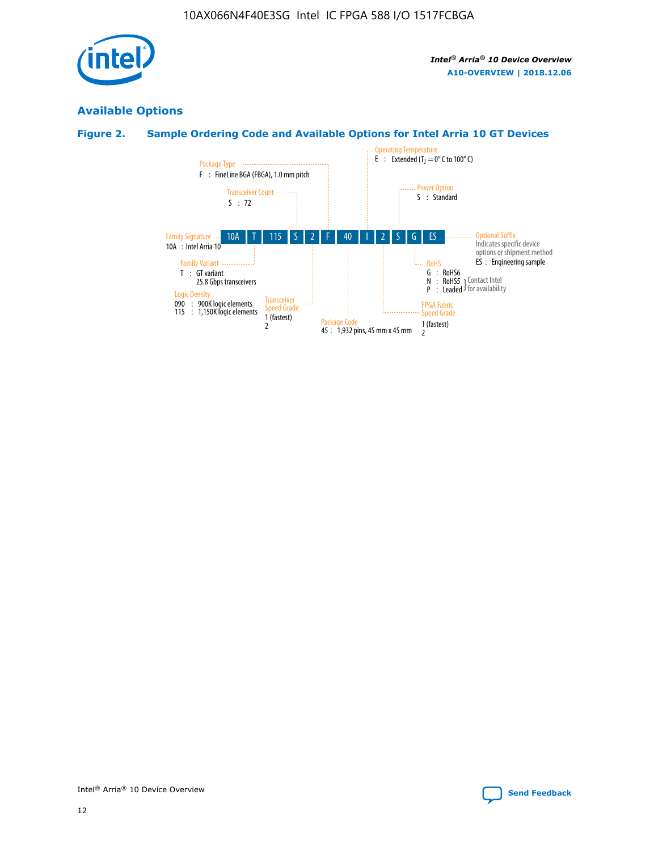

# **Available Options**

# **Figure 2. Sample Ordering Code and Available Options for Intel Arria 10 GT Devices**

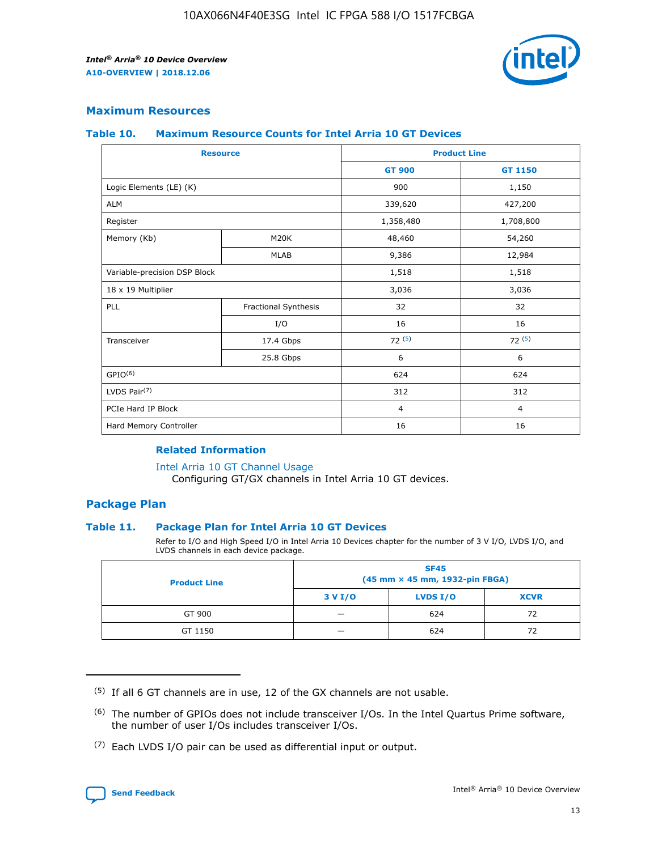

## **Maximum Resources**

#### **Table 10. Maximum Resource Counts for Intel Arria 10 GT Devices**

| <b>Resource</b>              |                      |                | <b>Product Line</b> |  |
|------------------------------|----------------------|----------------|---------------------|--|
|                              |                      | <b>GT 900</b>  | <b>GT 1150</b>      |  |
| Logic Elements (LE) (K)      |                      | 900            | 1,150               |  |
| <b>ALM</b>                   |                      | 339,620        | 427,200             |  |
| Register                     |                      | 1,358,480      | 1,708,800           |  |
| Memory (Kb)                  | M20K                 | 48,460         | 54,260              |  |
|                              | <b>MLAB</b>          | 9,386          | 12,984              |  |
| Variable-precision DSP Block |                      | 1,518          | 1,518               |  |
| 18 x 19 Multiplier           |                      | 3,036          | 3,036               |  |
| <b>PLL</b>                   | Fractional Synthesis | 32             | 32                  |  |
|                              | I/O                  | 16             | 16                  |  |
| Transceiver                  | 17.4 Gbps            | 72(5)          | 72(5)               |  |
|                              | 25.8 Gbps            | 6              | 6                   |  |
| GPIO <sup>(6)</sup>          |                      | 624            | 624                 |  |
| LVDS Pair $(7)$              |                      | 312            | 312                 |  |
| PCIe Hard IP Block           |                      | $\overline{4}$ | $\overline{4}$      |  |
| Hard Memory Controller       |                      | 16             | 16                  |  |

### **Related Information**

#### [Intel Arria 10 GT Channel Usage](https://www.intel.com/content/www/us/en/programmable/documentation/nik1398707230472.html#nik1398707008178)

Configuring GT/GX channels in Intel Arria 10 GT devices.

## **Package Plan**

#### **Table 11. Package Plan for Intel Arria 10 GT Devices**

Refer to I/O and High Speed I/O in Intel Arria 10 Devices chapter for the number of 3 V I/O, LVDS I/O, and LVDS channels in each device package.

| <b>Product Line</b> | <b>SF45</b><br>(45 mm × 45 mm, 1932-pin FBGA) |                 |             |  |  |  |
|---------------------|-----------------------------------------------|-----------------|-------------|--|--|--|
|                     | 3 V I/O                                       | <b>LVDS I/O</b> | <b>XCVR</b> |  |  |  |
| GT 900              |                                               | 624             | 72          |  |  |  |
| GT 1150             |                                               | 624             | 72          |  |  |  |

<sup>(7)</sup> Each LVDS I/O pair can be used as differential input or output.



 $(5)$  If all 6 GT channels are in use, 12 of the GX channels are not usable.

<sup>(6)</sup> The number of GPIOs does not include transceiver I/Os. In the Intel Quartus Prime software, the number of user I/Os includes transceiver I/Os.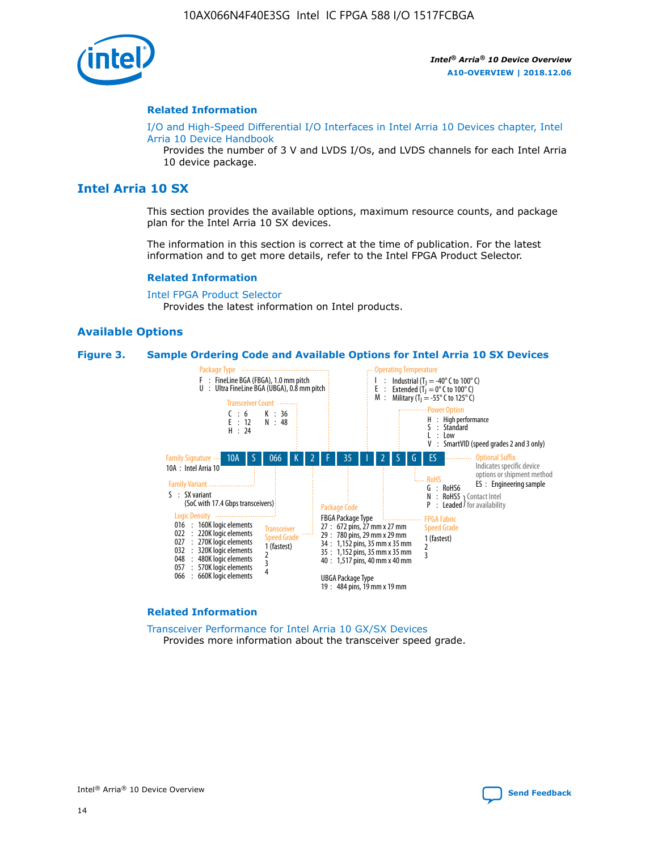

#### **Related Information**

[I/O and High-Speed Differential I/O Interfaces in Intel Arria 10 Devices chapter, Intel](https://www.intel.com/content/www/us/en/programmable/documentation/sam1403482614086.html#sam1403482030321) [Arria 10 Device Handbook](https://www.intel.com/content/www/us/en/programmable/documentation/sam1403482614086.html#sam1403482030321)

Provides the number of 3 V and LVDS I/Os, and LVDS channels for each Intel Arria 10 device package.

# **Intel Arria 10 SX**

This section provides the available options, maximum resource counts, and package plan for the Intel Arria 10 SX devices.

The information in this section is correct at the time of publication. For the latest information and to get more details, refer to the Intel FPGA Product Selector.

#### **Related Information**

[Intel FPGA Product Selector](http://www.altera.com/products/selector/psg-selector.html) Provides the latest information on Intel products.

#### **Available Options**

#### **Figure 3. Sample Ordering Code and Available Options for Intel Arria 10 SX Devices**



#### **Related Information**

[Transceiver Performance for Intel Arria 10 GX/SX Devices](https://www.intel.com/content/www/us/en/programmable/documentation/mcn1413182292568.html#mcn1413213965502) Provides more information about the transceiver speed grade.

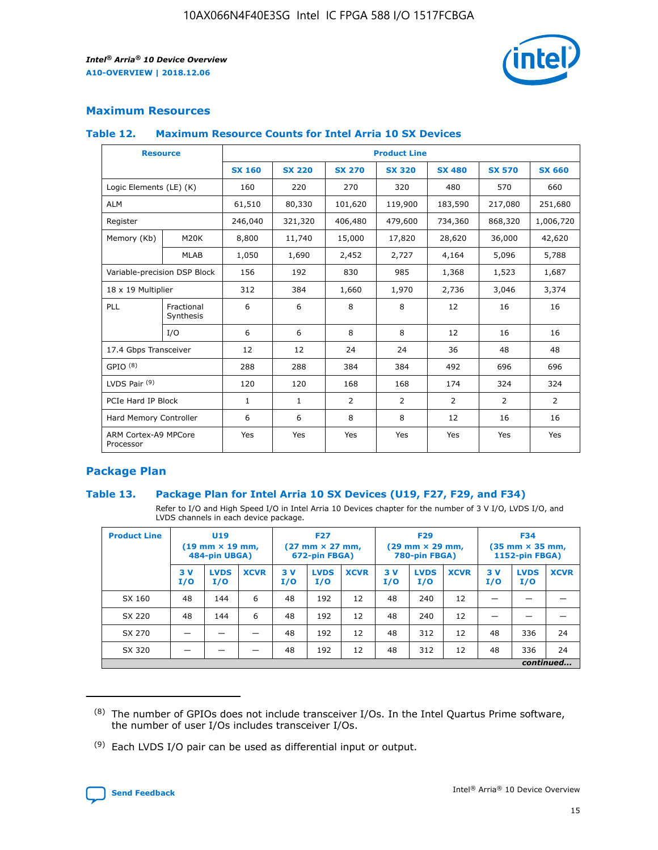

# **Maximum Resources**

#### **Table 12. Maximum Resource Counts for Intel Arria 10 SX Devices**

| <b>Resource</b>                   |                         | <b>Product Line</b> |               |                |                |               |                |                |  |  |  |
|-----------------------------------|-------------------------|---------------------|---------------|----------------|----------------|---------------|----------------|----------------|--|--|--|
|                                   |                         | <b>SX 160</b>       | <b>SX 220</b> | <b>SX 270</b>  | <b>SX 320</b>  | <b>SX 480</b> | <b>SX 570</b>  | <b>SX 660</b>  |  |  |  |
| Logic Elements (LE) (K)           |                         | 160                 | 220           | 270            | 320            | 480           | 570            | 660            |  |  |  |
| <b>ALM</b>                        |                         | 61,510              | 80,330        | 101,620        | 119,900        | 183,590       | 217,080        | 251,680        |  |  |  |
| Register                          |                         | 246,040             | 321,320       | 406,480        | 479,600        | 734,360       | 868,320        | 1,006,720      |  |  |  |
| Memory (Kb)                       | M <sub>20</sub> K       | 8,800               | 11,740        | 15,000         | 17,820         | 28,620        | 36,000         | 42,620         |  |  |  |
|                                   | <b>MLAB</b>             | 1,050               | 1,690         | 2,452          | 2,727          | 4,164         | 5,096          | 5,788          |  |  |  |
| Variable-precision DSP Block      |                         | 156                 | 192           | 830            | 985            | 1,368         | 1,523          | 1,687          |  |  |  |
| 18 x 19 Multiplier                |                         | 312                 | 384           | 1,660          | 1,970          | 2,736         | 3,046          | 3,374          |  |  |  |
| PLL                               | Fractional<br>Synthesis | 6                   | 6             | 8              | 8              | 12            | 16             | 16             |  |  |  |
|                                   | I/O                     | 6                   | 6             | 8              | 8              | 12            | 16             | 16             |  |  |  |
| 17.4 Gbps Transceiver             |                         | 12                  | 12            | 24             | 24             | 36            | 48             | 48             |  |  |  |
| GPIO <sup>(8)</sup>               |                         | 288                 | 288           | 384            | 384            | 492           | 696            | 696            |  |  |  |
| LVDS Pair $(9)$                   |                         | 120                 | 120           | 168            | 168            | 174           | 324            | 324            |  |  |  |
| PCIe Hard IP Block                |                         | $\mathbf{1}$        | $\mathbf{1}$  | $\overline{2}$ | $\overline{2}$ | 2             | $\overline{2}$ | $\overline{2}$ |  |  |  |
| Hard Memory Controller            |                         | 6                   | 6             | 8              | 8              | 12            | 16             | 16             |  |  |  |
| ARM Cortex-A9 MPCore<br>Processor |                         | Yes                 | Yes           | Yes            | Yes            | Yes           | Yes            | <b>Yes</b>     |  |  |  |

# **Package Plan**

#### **Table 13. Package Plan for Intel Arria 10 SX Devices (U19, F27, F29, and F34)**

Refer to I/O and High Speed I/O in Intel Arria 10 Devices chapter for the number of 3 V I/O, LVDS I/O, and LVDS channels in each device package.

| <b>Product Line</b> | U19<br>$(19 \text{ mm} \times 19 \text{ mm})$<br>484-pin UBGA) |                    | <b>F27</b><br>$(27 \text{ mm} \times 27 \text{ mm})$<br>672-pin FBGA) |           | <b>F29</b><br>$(29 \text{ mm} \times 29 \text{ mm})$<br>780-pin FBGA) |             |            | <b>F34</b><br>$(35 \text{ mm} \times 35 \text{ mm})$<br><b>1152-pin FBGA)</b> |             |           |                    |             |
|---------------------|----------------------------------------------------------------|--------------------|-----------------------------------------------------------------------|-----------|-----------------------------------------------------------------------|-------------|------------|-------------------------------------------------------------------------------|-------------|-----------|--------------------|-------------|
|                     | 3V<br>I/O                                                      | <b>LVDS</b><br>I/O | <b>XCVR</b>                                                           | 3V<br>I/O | <b>LVDS</b><br>I/O                                                    | <b>XCVR</b> | 3 V<br>I/O | <b>LVDS</b><br>I/O                                                            | <b>XCVR</b> | 3V<br>I/O | <b>LVDS</b><br>I/O | <b>XCVR</b> |
| SX 160              | 48                                                             | 144                | 6                                                                     | 48        | 192                                                                   | 12          | 48         | 240                                                                           | 12          | –         |                    |             |
| SX 220              | 48                                                             | 144                | 6                                                                     | 48        | 192                                                                   | 12          | 48         | 240                                                                           | 12          |           |                    |             |
| SX 270              |                                                                |                    |                                                                       | 48        | 192                                                                   | 12          | 48         | 312                                                                           | 12          | 48        | 336                | 24          |
| SX 320              |                                                                |                    |                                                                       | 48        | 192                                                                   | 12          | 48         | 312                                                                           | 12          | 48        | 336                | 24          |
|                     | continued                                                      |                    |                                                                       |           |                                                                       |             |            |                                                                               |             |           |                    |             |

 $(8)$  The number of GPIOs does not include transceiver I/Os. In the Intel Quartus Prime software, the number of user I/Os includes transceiver I/Os.

 $(9)$  Each LVDS I/O pair can be used as differential input or output.

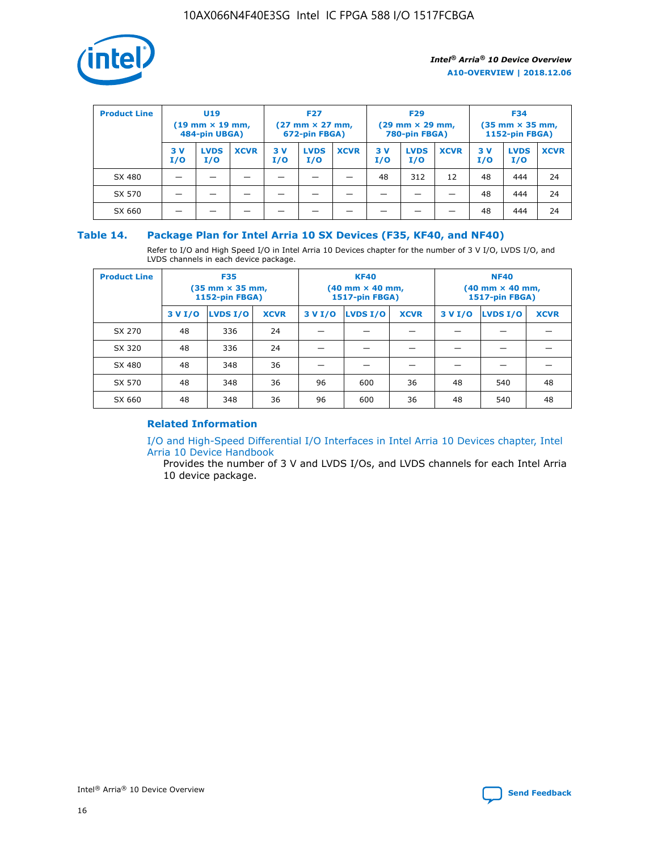

| <b>Product Line</b> | U <sub>19</sub><br>$(19 \text{ mm} \times 19 \text{ mm})$<br>484-pin UBGA) |                    | <b>F27</b><br>$(27 \text{ mm} \times 27 \text{ mm})$<br>672-pin FBGA) |           | <b>F29</b><br>$(29 \text{ mm} \times 29 \text{ mm})$<br>780-pin FBGA) |             |           | <b>F34</b><br>$(35$ mm $\times$ 35 mm,<br><b>1152-pin FBGA)</b> |             |           |                    |             |
|---------------------|----------------------------------------------------------------------------|--------------------|-----------------------------------------------------------------------|-----------|-----------------------------------------------------------------------|-------------|-----------|-----------------------------------------------------------------|-------------|-----------|--------------------|-------------|
|                     | 3V<br>I/O                                                                  | <b>LVDS</b><br>I/O | <b>XCVR</b>                                                           | 3V<br>I/O | <b>LVDS</b><br>I/O                                                    | <b>XCVR</b> | 3V<br>I/O | <b>LVDS</b><br>I/O                                              | <b>XCVR</b> | 3V<br>I/O | <b>LVDS</b><br>I/O | <b>XCVR</b> |
| SX 480              |                                                                            |                    |                                                                       |           |                                                                       |             | 48        | 312                                                             | 12          | 48        | 444                | 24          |
| SX 570              |                                                                            |                    |                                                                       |           |                                                                       |             |           |                                                                 |             | 48        | 444                | 24          |
| SX 660              |                                                                            |                    |                                                                       |           |                                                                       |             |           |                                                                 |             | 48        | 444                | 24          |

## **Table 14. Package Plan for Intel Arria 10 SX Devices (F35, KF40, and NF40)**

Refer to I/O and High Speed I/O in Intel Arria 10 Devices chapter for the number of 3 V I/O, LVDS I/O, and LVDS channels in each device package.

| <b>Product Line</b> | <b>F35</b><br>$(35 \text{ mm} \times 35 \text{ mm})$<br><b>1152-pin FBGA)</b> |          |             |                                           | <b>KF40</b><br>(40 mm × 40 mm,<br>1517-pin FBGA) |    | <b>NF40</b><br>$(40 \text{ mm} \times 40 \text{ mm})$<br>1517-pin FBGA) |          |             |  |
|---------------------|-------------------------------------------------------------------------------|----------|-------------|-------------------------------------------|--------------------------------------------------|----|-------------------------------------------------------------------------|----------|-------------|--|
|                     | 3 V I/O                                                                       | LVDS I/O | <b>XCVR</b> | <b>LVDS I/O</b><br><b>XCVR</b><br>3 V I/O |                                                  |    | 3 V I/O                                                                 | LVDS I/O | <b>XCVR</b> |  |
| SX 270              | 48                                                                            | 336      | 24          |                                           |                                                  |    |                                                                         |          |             |  |
| SX 320              | 48                                                                            | 336      | 24          |                                           |                                                  |    |                                                                         |          |             |  |
| SX 480              | 48                                                                            | 348      | 36          |                                           |                                                  |    |                                                                         |          |             |  |
| SX 570              | 48                                                                            | 348      | 36          | 96<br>36<br>600                           |                                                  | 48 | 540                                                                     | 48       |             |  |
| SX 660              | 48                                                                            | 348      | 36          | 96                                        | 600                                              | 36 | 48                                                                      | 540      | 48          |  |

# **Related Information**

[I/O and High-Speed Differential I/O Interfaces in Intel Arria 10 Devices chapter, Intel](https://www.intel.com/content/www/us/en/programmable/documentation/sam1403482614086.html#sam1403482030321) [Arria 10 Device Handbook](https://www.intel.com/content/www/us/en/programmable/documentation/sam1403482614086.html#sam1403482030321)

Provides the number of 3 V and LVDS I/Os, and LVDS channels for each Intel Arria 10 device package.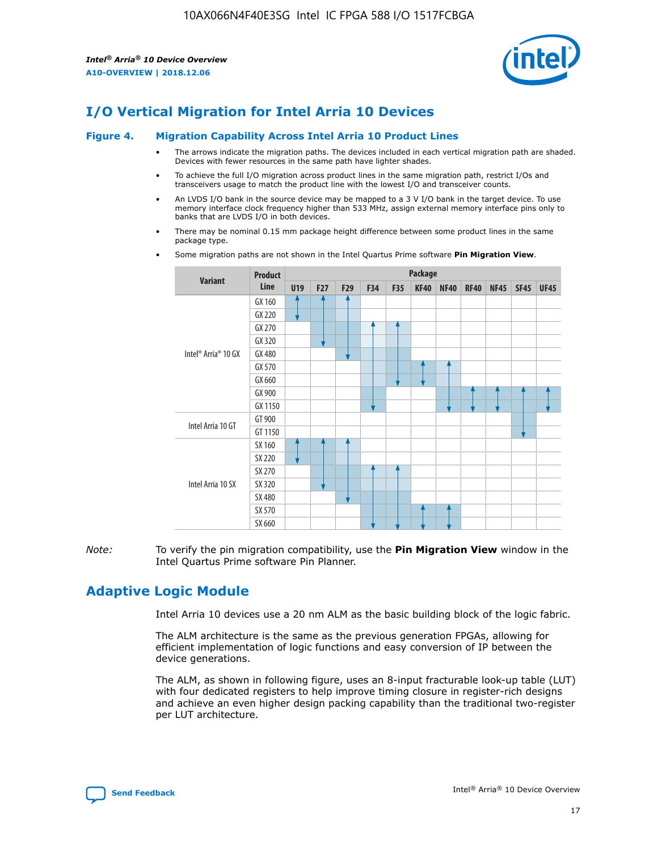

# **I/O Vertical Migration for Intel Arria 10 Devices**

#### **Figure 4. Migration Capability Across Intel Arria 10 Product Lines**

- The arrows indicate the migration paths. The devices included in each vertical migration path are shaded. Devices with fewer resources in the same path have lighter shades.
- To achieve the full I/O migration across product lines in the same migration path, restrict I/Os and transceivers usage to match the product line with the lowest I/O and transceiver counts.
- An LVDS I/O bank in the source device may be mapped to a 3 V I/O bank in the target device. To use memory interface clock frequency higher than 533 MHz, assign external memory interface pins only to banks that are LVDS I/O in both devices.
- There may be nominal 0.15 mm package height difference between some product lines in the same package type.
	- **Variant Product Line Package U19 F27 F29 F34 F35 KF40 NF40 RF40 NF45 SF45 UF45** Intel® Arria® 10 GX GX 160 GX 220 GX 270 GX 320 GX 480 GX 570 GX 660 GX 900 GX 1150 Intel Arria 10 GT GT 900 GT 1150 Intel Arria 10 SX SX 160 SX 220 SX 270 SX 320 SX 480 SX 570 SX 660
- Some migration paths are not shown in the Intel Quartus Prime software **Pin Migration View**.

*Note:* To verify the pin migration compatibility, use the **Pin Migration View** window in the Intel Quartus Prime software Pin Planner.

# **Adaptive Logic Module**

Intel Arria 10 devices use a 20 nm ALM as the basic building block of the logic fabric.

The ALM architecture is the same as the previous generation FPGAs, allowing for efficient implementation of logic functions and easy conversion of IP between the device generations.

The ALM, as shown in following figure, uses an 8-input fracturable look-up table (LUT) with four dedicated registers to help improve timing closure in register-rich designs and achieve an even higher design packing capability than the traditional two-register per LUT architecture.

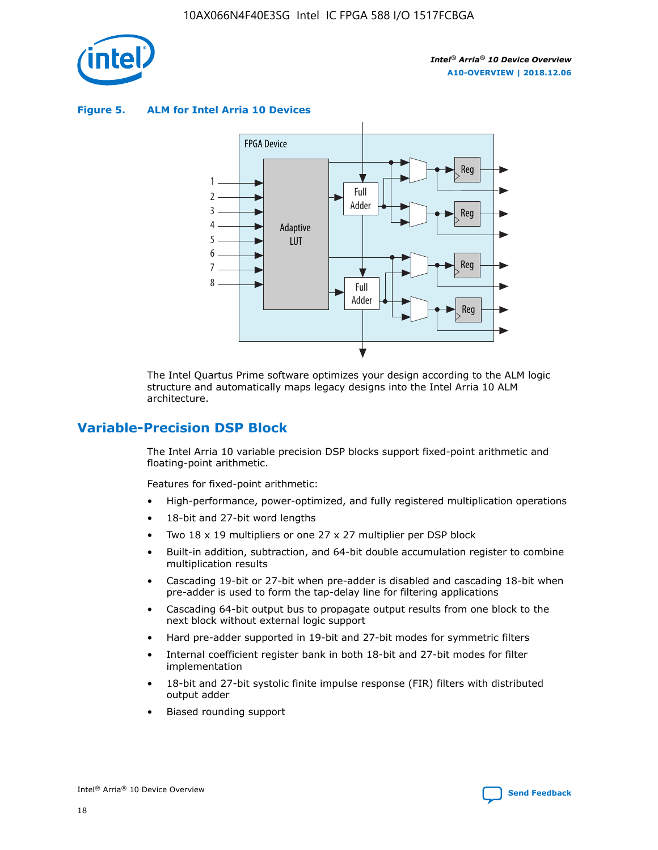

**Figure 5. ALM for Intel Arria 10 Devices**



The Intel Quartus Prime software optimizes your design according to the ALM logic structure and automatically maps legacy designs into the Intel Arria 10 ALM architecture.

# **Variable-Precision DSP Block**

The Intel Arria 10 variable precision DSP blocks support fixed-point arithmetic and floating-point arithmetic.

Features for fixed-point arithmetic:

- High-performance, power-optimized, and fully registered multiplication operations
- 18-bit and 27-bit word lengths
- Two 18 x 19 multipliers or one 27 x 27 multiplier per DSP block
- Built-in addition, subtraction, and 64-bit double accumulation register to combine multiplication results
- Cascading 19-bit or 27-bit when pre-adder is disabled and cascading 18-bit when pre-adder is used to form the tap-delay line for filtering applications
- Cascading 64-bit output bus to propagate output results from one block to the next block without external logic support
- Hard pre-adder supported in 19-bit and 27-bit modes for symmetric filters
- Internal coefficient register bank in both 18-bit and 27-bit modes for filter implementation
- 18-bit and 27-bit systolic finite impulse response (FIR) filters with distributed output adder
- Biased rounding support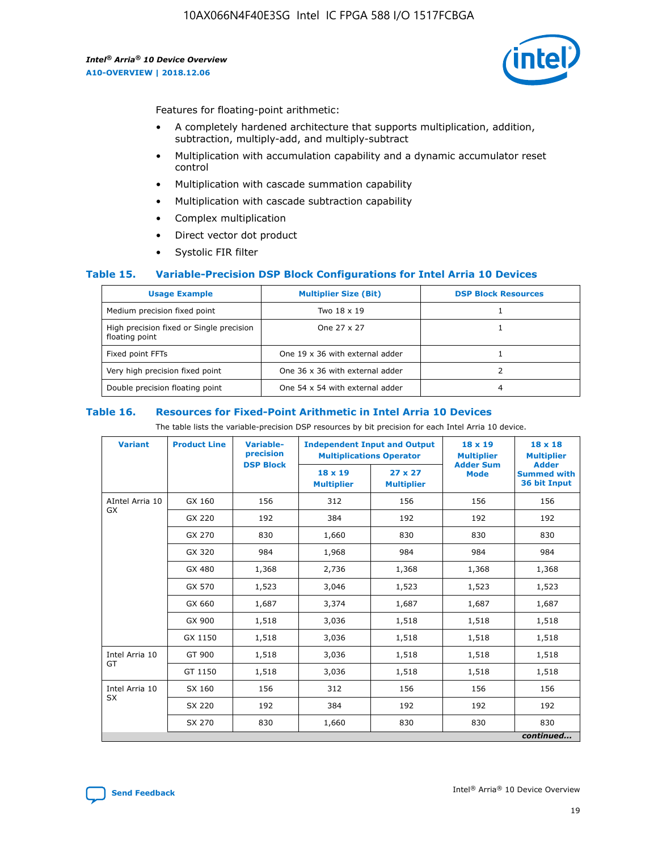

Features for floating-point arithmetic:

- A completely hardened architecture that supports multiplication, addition, subtraction, multiply-add, and multiply-subtract
- Multiplication with accumulation capability and a dynamic accumulator reset control
- Multiplication with cascade summation capability
- Multiplication with cascade subtraction capability
- Complex multiplication
- Direct vector dot product
- Systolic FIR filter

#### **Table 15. Variable-Precision DSP Block Configurations for Intel Arria 10 Devices**

| <b>Usage Example</b>                                       | <b>Multiplier Size (Bit)</b>    | <b>DSP Block Resources</b> |
|------------------------------------------------------------|---------------------------------|----------------------------|
| Medium precision fixed point                               | Two 18 x 19                     |                            |
| High precision fixed or Single precision<br>floating point | One 27 x 27                     |                            |
| Fixed point FFTs                                           | One 19 x 36 with external adder |                            |
| Very high precision fixed point                            | One 36 x 36 with external adder |                            |
| Double precision floating point                            | One 54 x 54 with external adder | 4                          |

#### **Table 16. Resources for Fixed-Point Arithmetic in Intel Arria 10 Devices**

The table lists the variable-precision DSP resources by bit precision for each Intel Arria 10 device.

| <b>Variant</b>  | <b>Product Line</b> | Variable-<br>precision<br><b>DSP Block</b> | <b>Independent Input and Output</b><br><b>Multiplications Operator</b> |                                     | 18 x 19<br><b>Multiplier</b><br><b>Adder Sum</b> | $18 \times 18$<br><b>Multiplier</b><br><b>Adder</b> |
|-----------------|---------------------|--------------------------------------------|------------------------------------------------------------------------|-------------------------------------|--------------------------------------------------|-----------------------------------------------------|
|                 |                     |                                            | 18 x 19<br><b>Multiplier</b>                                           | $27 \times 27$<br><b>Multiplier</b> | <b>Mode</b>                                      | <b>Summed with</b><br>36 bit Input                  |
| AIntel Arria 10 | GX 160              | 156                                        | 312                                                                    | 156                                 | 156                                              | 156                                                 |
| GX              | GX 220              | 192                                        | 384                                                                    | 192                                 | 192                                              | 192                                                 |
|                 | GX 270              | 830                                        | 1,660                                                                  | 830                                 | 830                                              | 830                                                 |
|                 | GX 320              | 984                                        | 1,968                                                                  | 984                                 | 984                                              | 984                                                 |
|                 | GX 480              | 1,368                                      | 2,736                                                                  | 1,368                               | 1,368                                            | 1,368                                               |
|                 | GX 570              | 1,523                                      | 3,046                                                                  | 1,523                               | 1,523                                            | 1,523                                               |
|                 | GX 660              | 1,687                                      | 3,374                                                                  | 1,687                               | 1,687                                            | 1,687                                               |
|                 | GX 900              | 1,518                                      | 3,036                                                                  | 1,518                               | 1,518                                            | 1,518                                               |
|                 | GX 1150             | 1,518                                      | 3,036                                                                  | 1,518                               | 1,518                                            | 1,518                                               |
| Intel Arria 10  | GT 900              | 1,518                                      | 3,036                                                                  | 1,518                               | 1,518                                            | 1,518                                               |
| GT              | GT 1150             | 1,518                                      | 3,036                                                                  | 1,518                               | 1,518                                            | 1,518                                               |
| Intel Arria 10  | SX 160              | 156                                        | 312                                                                    | 156                                 | 156                                              | 156                                                 |
| <b>SX</b>       | SX 220<br>192       |                                            | 384                                                                    | 192                                 | 192                                              | 192                                                 |
|                 | SX 270              | 830                                        | 1,660                                                                  | 830                                 | 830                                              | 830                                                 |
|                 |                     |                                            |                                                                        |                                     |                                                  | continued                                           |

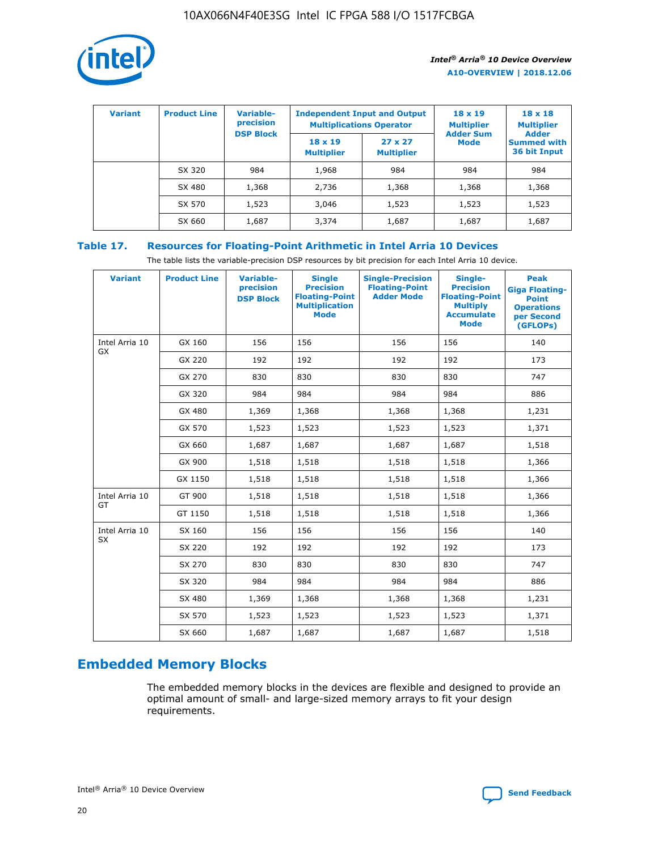

| <b>Variant</b> | <b>Product Line</b> | <b>Variable-</b><br>precision |                                     | <b>Independent Input and Output</b><br><b>Multiplications Operator</b> | $18 \times 19$<br><b>Multiplier</b> | $18 \times 18$<br><b>Multiplier</b>                |
|----------------|---------------------|-------------------------------|-------------------------------------|------------------------------------------------------------------------|-------------------------------------|----------------------------------------------------|
|                |                     | <b>DSP Block</b>              | $18 \times 19$<br><b>Multiplier</b> | $27 \times 27$<br><b>Multiplier</b>                                    | <b>Adder Sum</b><br><b>Mode</b>     | <b>Adder</b><br><b>Summed with</b><br>36 bit Input |
|                | SX 320              | 984                           | 1,968                               | 984                                                                    | 984                                 | 984                                                |
|                | SX 480              | 1,368                         | 2,736                               | 1,368                                                                  | 1,368                               | 1,368                                              |
|                | SX 570              | 1,523                         | 3,046                               | 1,523                                                                  | 1,523                               | 1,523                                              |
|                | SX 660              | 1,687                         | 3,374                               | 1,687                                                                  | 1,687                               | 1,687                                              |

# **Table 17. Resources for Floating-Point Arithmetic in Intel Arria 10 Devices**

The table lists the variable-precision DSP resources by bit precision for each Intel Arria 10 device.

| <b>Variant</b>              | <b>Product Line</b> | <b>Variable-</b><br>precision<br><b>DSP Block</b> | <b>Single</b><br><b>Precision</b><br><b>Floating-Point</b><br><b>Multiplication</b><br><b>Mode</b> | <b>Single-Precision</b><br><b>Floating-Point</b><br><b>Adder Mode</b> | Single-<br><b>Precision</b><br><b>Floating-Point</b><br><b>Multiply</b><br><b>Accumulate</b><br><b>Mode</b> | <b>Peak</b><br><b>Giga Floating-</b><br><b>Point</b><br><b>Operations</b><br>per Second<br>(GFLOPs) |
|-----------------------------|---------------------|---------------------------------------------------|----------------------------------------------------------------------------------------------------|-----------------------------------------------------------------------|-------------------------------------------------------------------------------------------------------------|-----------------------------------------------------------------------------------------------------|
| Intel Arria 10<br>GX        | GX 160              | 156                                               | 156                                                                                                | 156                                                                   | 156                                                                                                         | 140                                                                                                 |
|                             | GX 220              | 192                                               | 192                                                                                                | 192                                                                   | 192                                                                                                         | 173                                                                                                 |
|                             | GX 270              | 830                                               | 830                                                                                                | 830                                                                   | 830                                                                                                         | 747                                                                                                 |
|                             | GX 320              | 984                                               | 984                                                                                                | 984                                                                   | 984                                                                                                         | 886                                                                                                 |
|                             | GX 480              | 1,369                                             | 1,368                                                                                              | 1,368                                                                 | 1,368                                                                                                       | 1,231                                                                                               |
|                             | GX 570              | 1,523                                             | 1,523                                                                                              | 1,523                                                                 | 1,523                                                                                                       | 1,371                                                                                               |
|                             | GX 660              | 1,687                                             | 1,687                                                                                              | 1,687                                                                 | 1,687                                                                                                       | 1,518                                                                                               |
|                             | GX 900              | 1,518                                             | 1,518                                                                                              | 1,518                                                                 | 1,518                                                                                                       | 1,366                                                                                               |
|                             | GX 1150             | 1,518                                             | 1,518                                                                                              | 1,518                                                                 | 1,518                                                                                                       | 1,366                                                                                               |
| Intel Arria 10              | GT 900              | 1,518                                             | 1,518                                                                                              | 1,518                                                                 | 1,518                                                                                                       | 1,366                                                                                               |
| GT                          | GT 1150             | 1,518                                             | 1,518                                                                                              | 1,518                                                                 | 1,518                                                                                                       | 1,366                                                                                               |
| Intel Arria 10<br><b>SX</b> | SX 160              | 156                                               | 156                                                                                                | 156                                                                   | 156                                                                                                         | 140                                                                                                 |
|                             | SX 220              | 192                                               | 192                                                                                                | 192                                                                   | 192                                                                                                         | 173                                                                                                 |
|                             | SX 270              | 830                                               | 830                                                                                                | 830                                                                   | 830                                                                                                         | 747                                                                                                 |
|                             | SX 320              | 984                                               | 984                                                                                                | 984                                                                   | 984                                                                                                         | 886                                                                                                 |
|                             | SX 480              | 1,369                                             | 1,368                                                                                              | 1,368                                                                 | 1,368                                                                                                       | 1,231                                                                                               |
|                             | SX 570              | 1,523                                             | 1,523                                                                                              | 1,523                                                                 | 1,523                                                                                                       | 1,371                                                                                               |
|                             | SX 660              | 1,687                                             | 1,687                                                                                              | 1,687                                                                 | 1,687                                                                                                       | 1,518                                                                                               |

# **Embedded Memory Blocks**

The embedded memory blocks in the devices are flexible and designed to provide an optimal amount of small- and large-sized memory arrays to fit your design requirements.

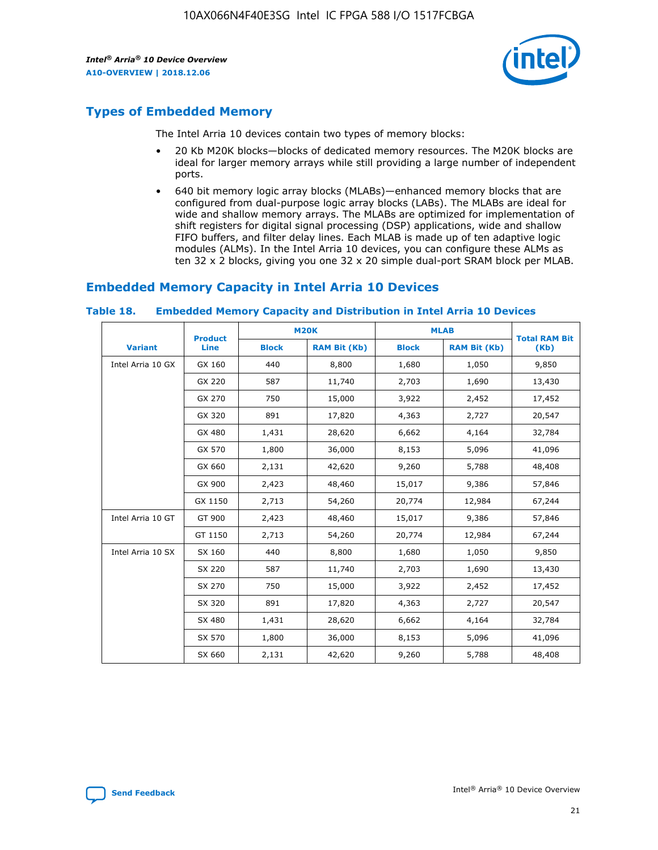

# **Types of Embedded Memory**

The Intel Arria 10 devices contain two types of memory blocks:

- 20 Kb M20K blocks—blocks of dedicated memory resources. The M20K blocks are ideal for larger memory arrays while still providing a large number of independent ports.
- 640 bit memory logic array blocks (MLABs)—enhanced memory blocks that are configured from dual-purpose logic array blocks (LABs). The MLABs are ideal for wide and shallow memory arrays. The MLABs are optimized for implementation of shift registers for digital signal processing (DSP) applications, wide and shallow FIFO buffers, and filter delay lines. Each MLAB is made up of ten adaptive logic modules (ALMs). In the Intel Arria 10 devices, you can configure these ALMs as ten 32 x 2 blocks, giving you one 32 x 20 simple dual-port SRAM block per MLAB.

# **Embedded Memory Capacity in Intel Arria 10 Devices**

|                   | <b>Product</b> |              | <b>M20K</b>         | <b>MLAB</b>  |                     | <b>Total RAM Bit</b> |
|-------------------|----------------|--------------|---------------------|--------------|---------------------|----------------------|
| <b>Variant</b>    | <b>Line</b>    | <b>Block</b> | <b>RAM Bit (Kb)</b> | <b>Block</b> | <b>RAM Bit (Kb)</b> | (Kb)                 |
| Intel Arria 10 GX | GX 160         | 440          | 8,800               | 1,680        | 1,050               | 9,850                |
|                   | GX 220         | 587          | 11,740              | 2,703        | 1,690               | 13,430               |
|                   | GX 270         | 750          | 15,000              | 3,922        | 2,452               | 17,452               |
|                   | GX 320         | 891          | 17,820              | 4,363        | 2,727               | 20,547               |
|                   | GX 480         | 1,431        | 28,620              | 6,662        | 4,164               | 32,784               |
|                   | GX 570         | 1,800        | 36,000              | 8,153        | 5,096               | 41,096               |
|                   | GX 660         | 2,131        | 42,620              | 9,260        | 5,788               | 48,408               |
|                   | GX 900         | 2,423        | 48,460              | 15,017       | 9,386               | 57,846               |
|                   | GX 1150        | 2,713        | 54,260              | 20,774       | 12,984              | 67,244               |
| Intel Arria 10 GT | GT 900         | 2,423        | 48,460              | 15,017       | 9,386               | 57,846               |
|                   | GT 1150        | 2,713        | 54,260              | 20,774       | 12,984              | 67,244               |
| Intel Arria 10 SX | SX 160         | 440          | 8,800               | 1,680        | 1,050               | 9,850                |
|                   | SX 220         | 587          | 11,740              | 2,703        | 1,690               | 13,430               |
|                   | SX 270         | 750          | 15,000              | 3,922        | 2,452               | 17,452               |
|                   | SX 320         | 891          | 17,820              | 4,363        | 2,727               | 20,547               |
|                   | SX 480         | 1,431        | 28,620              | 6,662        | 4,164               | 32,784               |
|                   | SX 570         | 1,800        | 36,000              | 8,153        | 5,096               | 41,096               |
|                   | SX 660         | 2,131        | 42,620              | 9,260        | 5,788               | 48,408               |

#### **Table 18. Embedded Memory Capacity and Distribution in Intel Arria 10 Devices**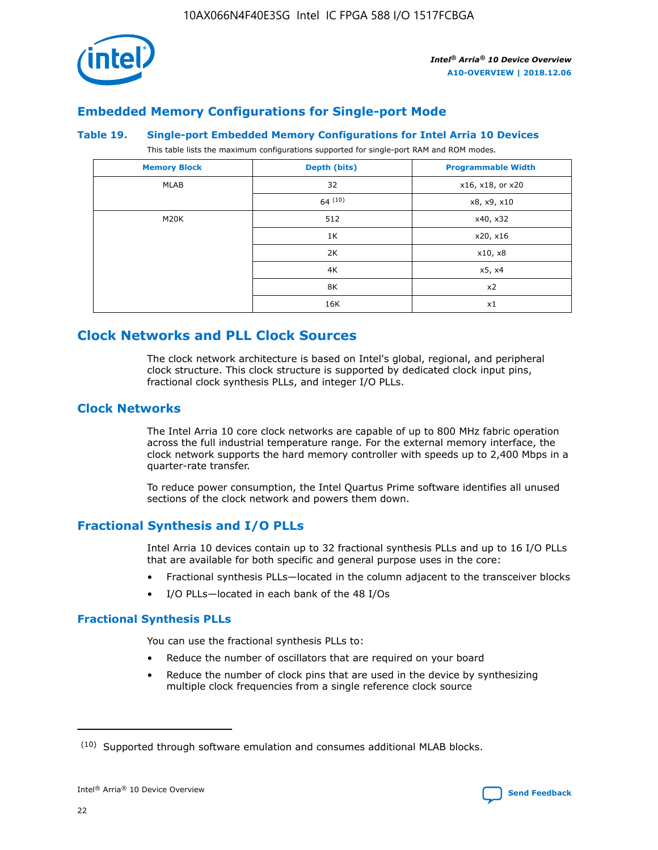

# **Embedded Memory Configurations for Single-port Mode**

#### **Table 19. Single-port Embedded Memory Configurations for Intel Arria 10 Devices**

This table lists the maximum configurations supported for single-port RAM and ROM modes.

| <b>Memory Block</b> | Depth (bits) | <b>Programmable Width</b> |
|---------------------|--------------|---------------------------|
| MLAB                | 32           | x16, x18, or x20          |
|                     | 64(10)       | x8, x9, x10               |
| M20K                | 512          | x40, x32                  |
|                     | 1K           | x20, x16                  |
|                     | 2K           | x10, x8                   |
|                     | 4K           | x5, x4                    |
|                     | 8K           | x2                        |
|                     | 16K          | x1                        |

# **Clock Networks and PLL Clock Sources**

The clock network architecture is based on Intel's global, regional, and peripheral clock structure. This clock structure is supported by dedicated clock input pins, fractional clock synthesis PLLs, and integer I/O PLLs.

# **Clock Networks**

The Intel Arria 10 core clock networks are capable of up to 800 MHz fabric operation across the full industrial temperature range. For the external memory interface, the clock network supports the hard memory controller with speeds up to 2,400 Mbps in a quarter-rate transfer.

To reduce power consumption, the Intel Quartus Prime software identifies all unused sections of the clock network and powers them down.

# **Fractional Synthesis and I/O PLLs**

Intel Arria 10 devices contain up to 32 fractional synthesis PLLs and up to 16 I/O PLLs that are available for both specific and general purpose uses in the core:

- Fractional synthesis PLLs—located in the column adjacent to the transceiver blocks
- I/O PLLs—located in each bank of the 48 I/Os

# **Fractional Synthesis PLLs**

You can use the fractional synthesis PLLs to:

- Reduce the number of oscillators that are required on your board
- Reduce the number of clock pins that are used in the device by synthesizing multiple clock frequencies from a single reference clock source

<sup>(10)</sup> Supported through software emulation and consumes additional MLAB blocks.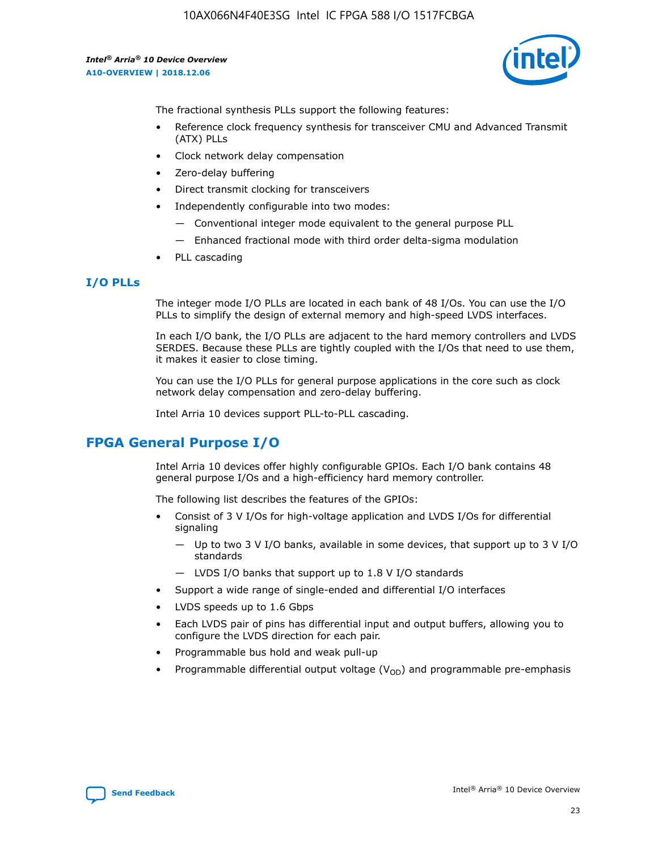

The fractional synthesis PLLs support the following features:

- Reference clock frequency synthesis for transceiver CMU and Advanced Transmit (ATX) PLLs
- Clock network delay compensation
- Zero-delay buffering
- Direct transmit clocking for transceivers
- Independently configurable into two modes:
	- Conventional integer mode equivalent to the general purpose PLL
	- Enhanced fractional mode with third order delta-sigma modulation
- PLL cascading

# **I/O PLLs**

The integer mode I/O PLLs are located in each bank of 48 I/Os. You can use the I/O PLLs to simplify the design of external memory and high-speed LVDS interfaces.

In each I/O bank, the I/O PLLs are adjacent to the hard memory controllers and LVDS SERDES. Because these PLLs are tightly coupled with the I/Os that need to use them, it makes it easier to close timing.

You can use the I/O PLLs for general purpose applications in the core such as clock network delay compensation and zero-delay buffering.

Intel Arria 10 devices support PLL-to-PLL cascading.

# **FPGA General Purpose I/O**

Intel Arria 10 devices offer highly configurable GPIOs. Each I/O bank contains 48 general purpose I/Os and a high-efficiency hard memory controller.

The following list describes the features of the GPIOs:

- Consist of 3 V I/Os for high-voltage application and LVDS I/Os for differential signaling
	- Up to two 3 V I/O banks, available in some devices, that support up to 3 V I/O standards
	- LVDS I/O banks that support up to 1.8 V I/O standards
- Support a wide range of single-ended and differential I/O interfaces
- LVDS speeds up to 1.6 Gbps
- Each LVDS pair of pins has differential input and output buffers, allowing you to configure the LVDS direction for each pair.
- Programmable bus hold and weak pull-up
- Programmable differential output voltage  $(V_{OD})$  and programmable pre-emphasis

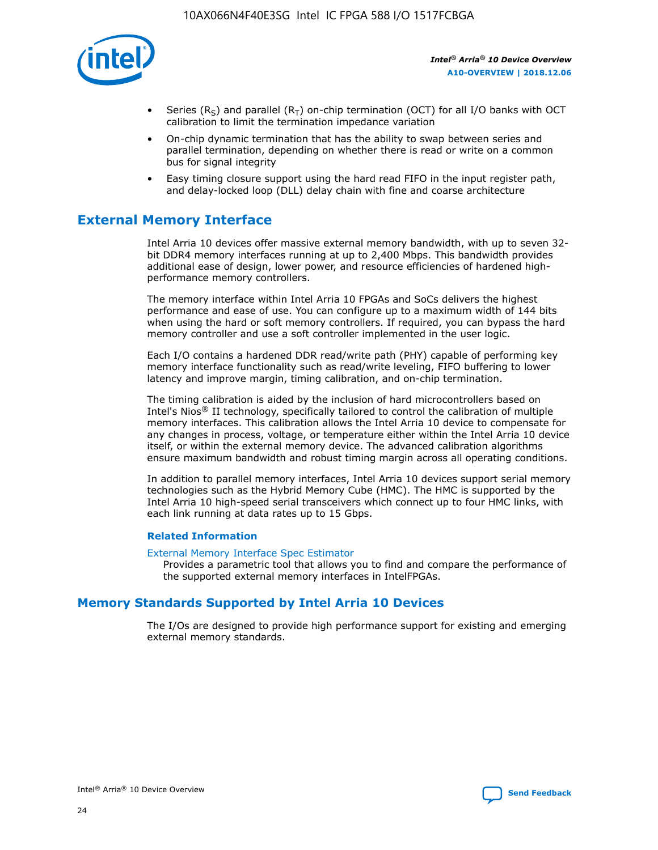

- Series (R<sub>S</sub>) and parallel (R<sub>T</sub>) on-chip termination (OCT) for all I/O banks with OCT calibration to limit the termination impedance variation
- On-chip dynamic termination that has the ability to swap between series and parallel termination, depending on whether there is read or write on a common bus for signal integrity
- Easy timing closure support using the hard read FIFO in the input register path, and delay-locked loop (DLL) delay chain with fine and coarse architecture

# **External Memory Interface**

Intel Arria 10 devices offer massive external memory bandwidth, with up to seven 32 bit DDR4 memory interfaces running at up to 2,400 Mbps. This bandwidth provides additional ease of design, lower power, and resource efficiencies of hardened highperformance memory controllers.

The memory interface within Intel Arria 10 FPGAs and SoCs delivers the highest performance and ease of use. You can configure up to a maximum width of 144 bits when using the hard or soft memory controllers. If required, you can bypass the hard memory controller and use a soft controller implemented in the user logic.

Each I/O contains a hardened DDR read/write path (PHY) capable of performing key memory interface functionality such as read/write leveling, FIFO buffering to lower latency and improve margin, timing calibration, and on-chip termination.

The timing calibration is aided by the inclusion of hard microcontrollers based on Intel's Nios® II technology, specifically tailored to control the calibration of multiple memory interfaces. This calibration allows the Intel Arria 10 device to compensate for any changes in process, voltage, or temperature either within the Intel Arria 10 device itself, or within the external memory device. The advanced calibration algorithms ensure maximum bandwidth and robust timing margin across all operating conditions.

In addition to parallel memory interfaces, Intel Arria 10 devices support serial memory technologies such as the Hybrid Memory Cube (HMC). The HMC is supported by the Intel Arria 10 high-speed serial transceivers which connect up to four HMC links, with each link running at data rates up to 15 Gbps.

#### **Related Information**

#### [External Memory Interface Spec Estimator](http://www.altera.com/technology/memory/estimator/mem-emif-index.html)

Provides a parametric tool that allows you to find and compare the performance of the supported external memory interfaces in IntelFPGAs.

# **Memory Standards Supported by Intel Arria 10 Devices**

The I/Os are designed to provide high performance support for existing and emerging external memory standards.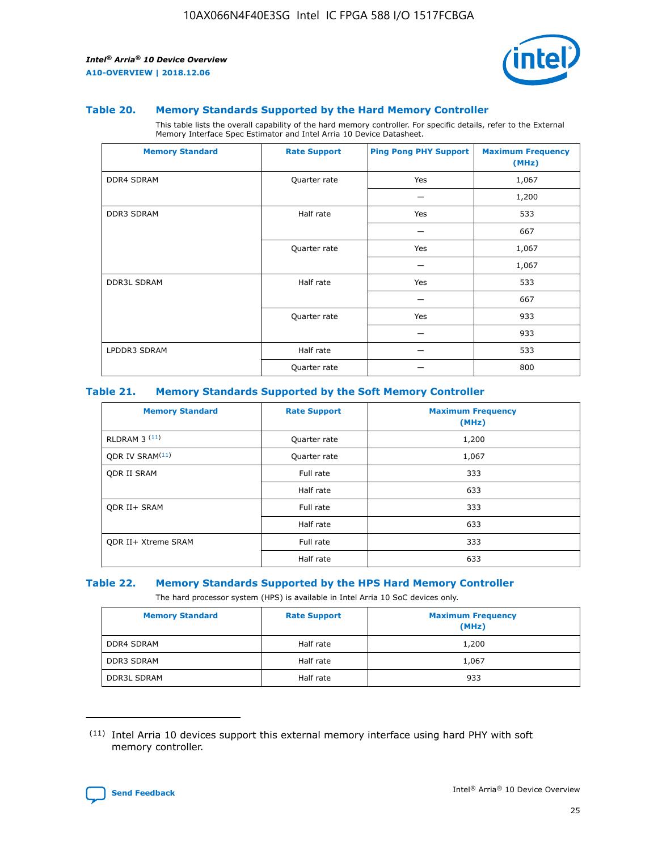

#### **Table 20. Memory Standards Supported by the Hard Memory Controller**

This table lists the overall capability of the hard memory controller. For specific details, refer to the External Memory Interface Spec Estimator and Intel Arria 10 Device Datasheet.

| <b>Memory Standard</b> | <b>Rate Support</b> | <b>Ping Pong PHY Support</b> | <b>Maximum Frequency</b><br>(MHz) |
|------------------------|---------------------|------------------------------|-----------------------------------|
| <b>DDR4 SDRAM</b>      | Quarter rate        | Yes                          | 1,067                             |
|                        |                     |                              | 1,200                             |
| DDR3 SDRAM             | Half rate           | Yes                          | 533                               |
|                        |                     |                              | 667                               |
|                        | Quarter rate        | Yes                          | 1,067                             |
|                        |                     |                              | 1,067                             |
| <b>DDR3L SDRAM</b>     | Half rate           | Yes                          | 533                               |
|                        |                     |                              | 667                               |
|                        | Quarter rate        | Yes                          | 933                               |
|                        |                     |                              | 933                               |
| LPDDR3 SDRAM           | Half rate           |                              | 533                               |
|                        | Quarter rate        |                              | 800                               |

#### **Table 21. Memory Standards Supported by the Soft Memory Controller**

| <b>Memory Standard</b>      | <b>Rate Support</b> | <b>Maximum Frequency</b><br>(MHz) |
|-----------------------------|---------------------|-----------------------------------|
| <b>RLDRAM 3 (11)</b>        | Quarter rate        | 1,200                             |
| ODR IV SRAM <sup>(11)</sup> | Quarter rate        | 1,067                             |
| <b>ODR II SRAM</b>          | Full rate           | 333                               |
|                             | Half rate           | 633                               |
| <b>ODR II+ SRAM</b>         | Full rate           | 333                               |
|                             | Half rate           | 633                               |
| <b>ODR II+ Xtreme SRAM</b>  | Full rate           | 333                               |
|                             | Half rate           | 633                               |

#### **Table 22. Memory Standards Supported by the HPS Hard Memory Controller**

The hard processor system (HPS) is available in Intel Arria 10 SoC devices only.

| <b>Memory Standard</b> | <b>Rate Support</b> | <b>Maximum Frequency</b><br>(MHz) |
|------------------------|---------------------|-----------------------------------|
| <b>DDR4 SDRAM</b>      | Half rate           | 1,200                             |
| <b>DDR3 SDRAM</b>      | Half rate           | 1,067                             |
| <b>DDR3L SDRAM</b>     | Half rate           | 933                               |

<sup>(11)</sup> Intel Arria 10 devices support this external memory interface using hard PHY with soft memory controller.

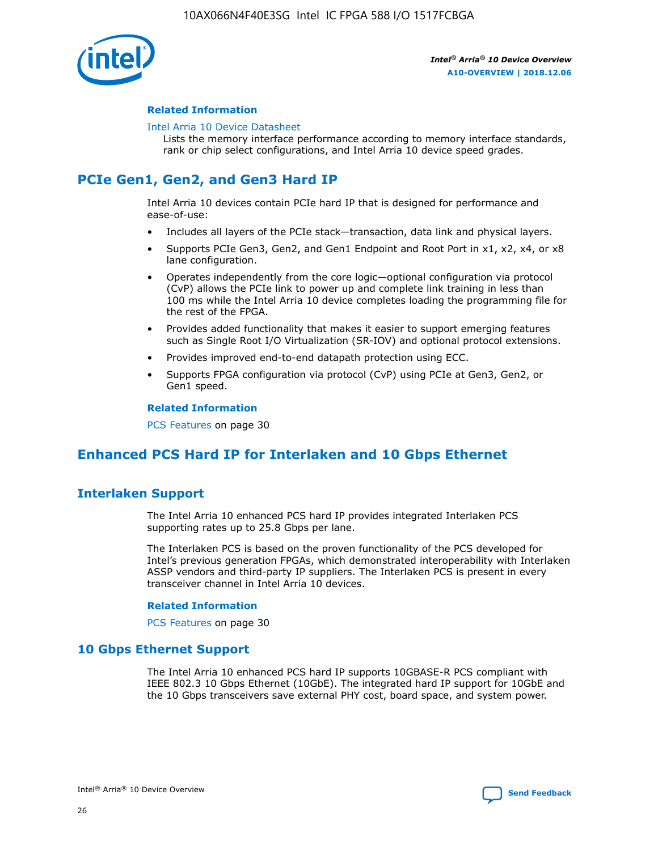

### **Related Information**

#### [Intel Arria 10 Device Datasheet](https://www.intel.com/content/www/us/en/programmable/documentation/mcn1413182292568.html#mcn1413182153340)

Lists the memory interface performance according to memory interface standards, rank or chip select configurations, and Intel Arria 10 device speed grades.

# **PCIe Gen1, Gen2, and Gen3 Hard IP**

Intel Arria 10 devices contain PCIe hard IP that is designed for performance and ease-of-use:

- Includes all layers of the PCIe stack—transaction, data link and physical layers.
- Supports PCIe Gen3, Gen2, and Gen1 Endpoint and Root Port in x1, x2, x4, or x8 lane configuration.
- Operates independently from the core logic—optional configuration via protocol (CvP) allows the PCIe link to power up and complete link training in less than 100 ms while the Intel Arria 10 device completes loading the programming file for the rest of the FPGA.
- Provides added functionality that makes it easier to support emerging features such as Single Root I/O Virtualization (SR-IOV) and optional protocol extensions.
- Provides improved end-to-end datapath protection using ECC.
- Supports FPGA configuration via protocol (CvP) using PCIe at Gen3, Gen2, or Gen1 speed.

#### **Related Information**

PCS Features on page 30

# **Enhanced PCS Hard IP for Interlaken and 10 Gbps Ethernet**

# **Interlaken Support**

The Intel Arria 10 enhanced PCS hard IP provides integrated Interlaken PCS supporting rates up to 25.8 Gbps per lane.

The Interlaken PCS is based on the proven functionality of the PCS developed for Intel's previous generation FPGAs, which demonstrated interoperability with Interlaken ASSP vendors and third-party IP suppliers. The Interlaken PCS is present in every transceiver channel in Intel Arria 10 devices.

#### **Related Information**

PCS Features on page 30

# **10 Gbps Ethernet Support**

The Intel Arria 10 enhanced PCS hard IP supports 10GBASE-R PCS compliant with IEEE 802.3 10 Gbps Ethernet (10GbE). The integrated hard IP support for 10GbE and the 10 Gbps transceivers save external PHY cost, board space, and system power.

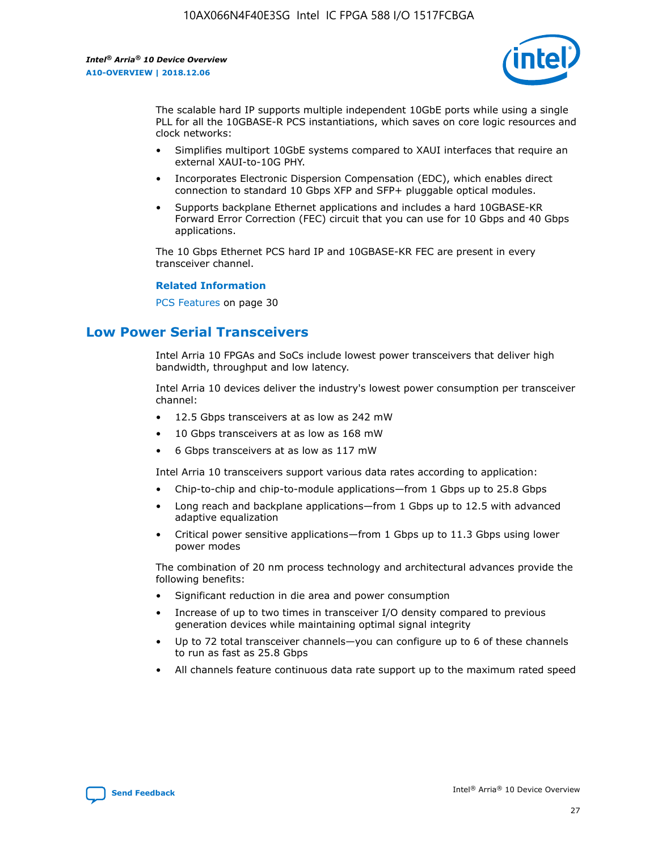

The scalable hard IP supports multiple independent 10GbE ports while using a single PLL for all the 10GBASE-R PCS instantiations, which saves on core logic resources and clock networks:

- Simplifies multiport 10GbE systems compared to XAUI interfaces that require an external XAUI-to-10G PHY.
- Incorporates Electronic Dispersion Compensation (EDC), which enables direct connection to standard 10 Gbps XFP and SFP+ pluggable optical modules.
- Supports backplane Ethernet applications and includes a hard 10GBASE-KR Forward Error Correction (FEC) circuit that you can use for 10 Gbps and 40 Gbps applications.

The 10 Gbps Ethernet PCS hard IP and 10GBASE-KR FEC are present in every transceiver channel.

#### **Related Information**

PCS Features on page 30

# **Low Power Serial Transceivers**

Intel Arria 10 FPGAs and SoCs include lowest power transceivers that deliver high bandwidth, throughput and low latency.

Intel Arria 10 devices deliver the industry's lowest power consumption per transceiver channel:

- 12.5 Gbps transceivers at as low as 242 mW
- 10 Gbps transceivers at as low as 168 mW
- 6 Gbps transceivers at as low as 117 mW

Intel Arria 10 transceivers support various data rates according to application:

- Chip-to-chip and chip-to-module applications—from 1 Gbps up to 25.8 Gbps
- Long reach and backplane applications—from 1 Gbps up to 12.5 with advanced adaptive equalization
- Critical power sensitive applications—from 1 Gbps up to 11.3 Gbps using lower power modes

The combination of 20 nm process technology and architectural advances provide the following benefits:

- Significant reduction in die area and power consumption
- Increase of up to two times in transceiver I/O density compared to previous generation devices while maintaining optimal signal integrity
- Up to 72 total transceiver channels—you can configure up to 6 of these channels to run as fast as 25.8 Gbps
- All channels feature continuous data rate support up to the maximum rated speed

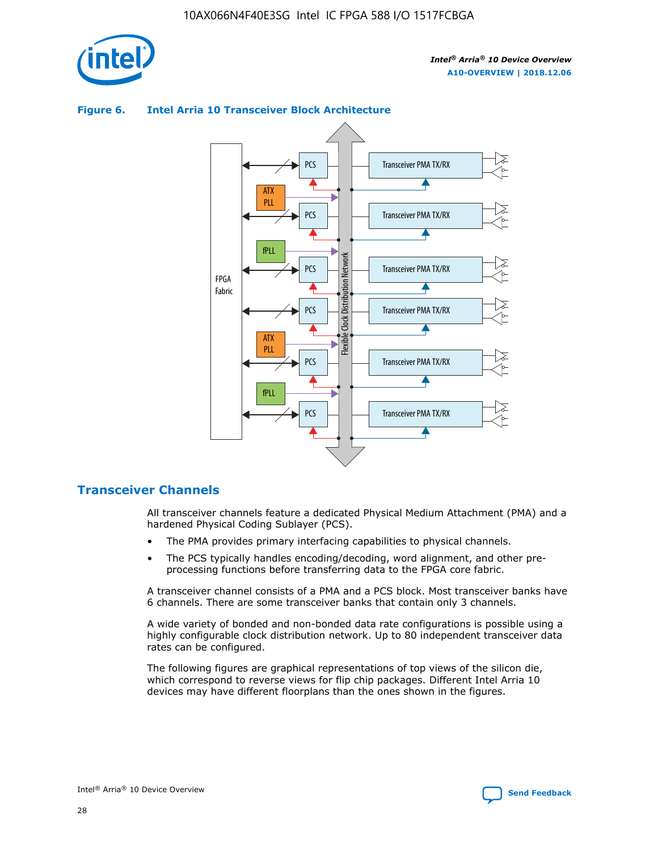

## Transceiver PMA TX/RX PCS ATX PLL Transceiver PMA TX/RX PCS fPLL Network Flexible Clock Distribution Network PCS Transceiver PMA TX/RX FPGA **Clock Distribution** Fabric PCS Transceiver PMA TX/RX ATX Flexible PLL PCS Transceiver PMA TX/RX ▲ fPLL Transceiver PMA TX/RX PCS 4

## **Figure 6. Intel Arria 10 Transceiver Block Architecture**

# **Transceiver Channels**

All transceiver channels feature a dedicated Physical Medium Attachment (PMA) and a hardened Physical Coding Sublayer (PCS).

- The PMA provides primary interfacing capabilities to physical channels.
- The PCS typically handles encoding/decoding, word alignment, and other preprocessing functions before transferring data to the FPGA core fabric.

A transceiver channel consists of a PMA and a PCS block. Most transceiver banks have 6 channels. There are some transceiver banks that contain only 3 channels.

A wide variety of bonded and non-bonded data rate configurations is possible using a highly configurable clock distribution network. Up to 80 independent transceiver data rates can be configured.

The following figures are graphical representations of top views of the silicon die, which correspond to reverse views for flip chip packages. Different Intel Arria 10 devices may have different floorplans than the ones shown in the figures.

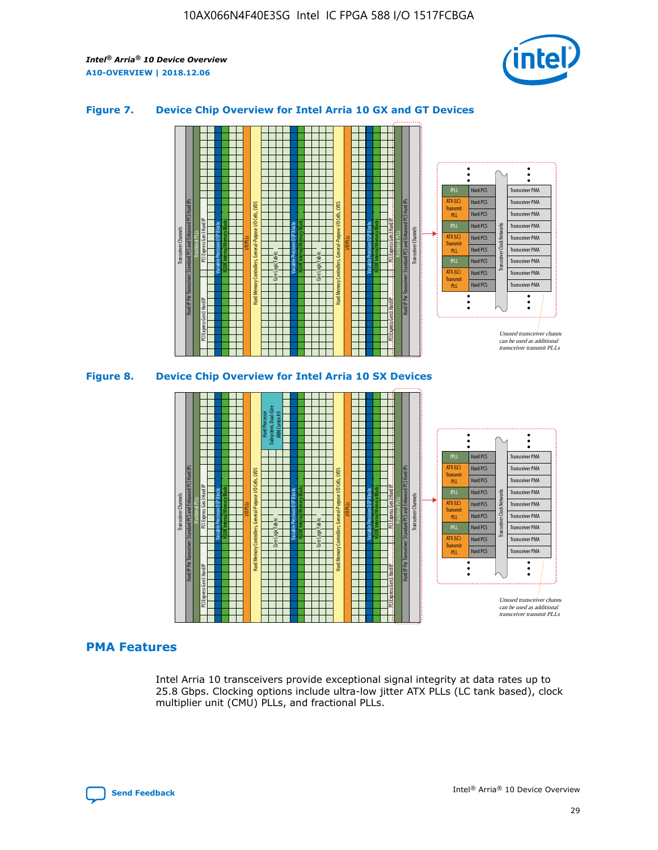

## **Figure 7. Device Chip Overview for Intel Arria 10 GX and GT Devices**





# **PMA Features**

Intel Arria 10 transceivers provide exceptional signal integrity at data rates up to 25.8 Gbps. Clocking options include ultra-low jitter ATX PLLs (LC tank based), clock multiplier unit (CMU) PLLs, and fractional PLLs.

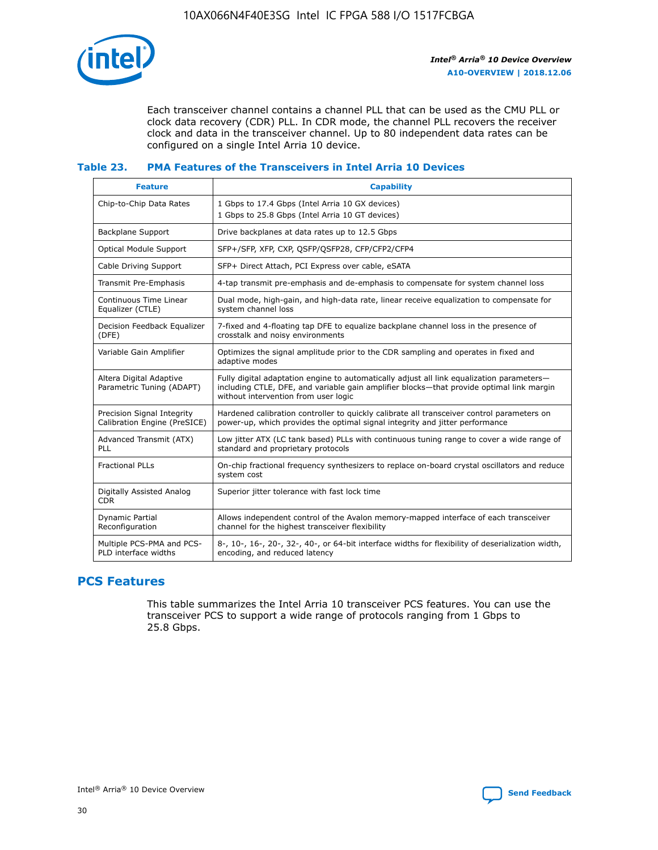

Each transceiver channel contains a channel PLL that can be used as the CMU PLL or clock data recovery (CDR) PLL. In CDR mode, the channel PLL recovers the receiver clock and data in the transceiver channel. Up to 80 independent data rates can be configured on a single Intel Arria 10 device.

## **Table 23. PMA Features of the Transceivers in Intel Arria 10 Devices**

| <b>Feature</b>                                             | <b>Capability</b>                                                                                                                                                                                                             |
|------------------------------------------------------------|-------------------------------------------------------------------------------------------------------------------------------------------------------------------------------------------------------------------------------|
| Chip-to-Chip Data Rates                                    | 1 Gbps to 17.4 Gbps (Intel Arria 10 GX devices)<br>1 Gbps to 25.8 Gbps (Intel Arria 10 GT devices)                                                                                                                            |
| Backplane Support                                          | Drive backplanes at data rates up to 12.5 Gbps                                                                                                                                                                                |
| <b>Optical Module Support</b>                              | SFP+/SFP, XFP, CXP, QSFP/QSFP28, CFP/CFP2/CFP4                                                                                                                                                                                |
| Cable Driving Support                                      | SFP+ Direct Attach, PCI Express over cable, eSATA                                                                                                                                                                             |
| Transmit Pre-Emphasis                                      | 4-tap transmit pre-emphasis and de-emphasis to compensate for system channel loss                                                                                                                                             |
| Continuous Time Linear<br>Equalizer (CTLE)                 | Dual mode, high-gain, and high-data rate, linear receive equalization to compensate for<br>system channel loss                                                                                                                |
| Decision Feedback Equalizer<br>(DFE)                       | 7-fixed and 4-floating tap DFE to equalize backplane channel loss in the presence of<br>crosstalk and noisy environments                                                                                                      |
| Variable Gain Amplifier                                    | Optimizes the signal amplitude prior to the CDR sampling and operates in fixed and<br>adaptive modes                                                                                                                          |
| Altera Digital Adaptive<br>Parametric Tuning (ADAPT)       | Fully digital adaptation engine to automatically adjust all link equalization parameters-<br>including CTLE, DFE, and variable gain amplifier blocks—that provide optimal link margin<br>without intervention from user logic |
| Precision Signal Integrity<br>Calibration Engine (PreSICE) | Hardened calibration controller to quickly calibrate all transceiver control parameters on<br>power-up, which provides the optimal signal integrity and jitter performance                                                    |
| Advanced Transmit (ATX)<br><b>PLL</b>                      | Low jitter ATX (LC tank based) PLLs with continuous tuning range to cover a wide range of<br>standard and proprietary protocols                                                                                               |
| <b>Fractional PLLs</b>                                     | On-chip fractional frequency synthesizers to replace on-board crystal oscillators and reduce<br>system cost                                                                                                                   |
| Digitally Assisted Analog<br><b>CDR</b>                    | Superior jitter tolerance with fast lock time                                                                                                                                                                                 |
| Dynamic Partial<br>Reconfiguration                         | Allows independent control of the Avalon memory-mapped interface of each transceiver<br>channel for the highest transceiver flexibility                                                                                       |
| Multiple PCS-PMA and PCS-<br>PLD interface widths          | 8-, 10-, 16-, 20-, 32-, 40-, or 64-bit interface widths for flexibility of deserialization width,<br>encoding, and reduced latency                                                                                            |

# **PCS Features**

This table summarizes the Intel Arria 10 transceiver PCS features. You can use the transceiver PCS to support a wide range of protocols ranging from 1 Gbps to 25.8 Gbps.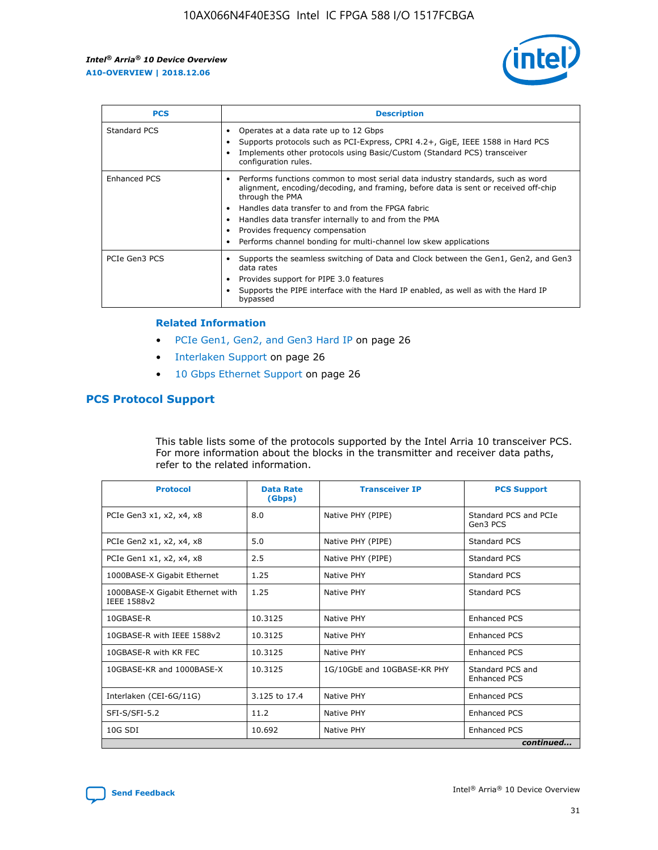

| <b>PCS</b>    | <b>Description</b>                                                                                                                                                                                                                                                                                                                                                                                             |
|---------------|----------------------------------------------------------------------------------------------------------------------------------------------------------------------------------------------------------------------------------------------------------------------------------------------------------------------------------------------------------------------------------------------------------------|
| Standard PCS  | Operates at a data rate up to 12 Gbps<br>Supports protocols such as PCI-Express, CPRI 4.2+, GigE, IEEE 1588 in Hard PCS<br>Implements other protocols using Basic/Custom (Standard PCS) transceiver<br>configuration rules.                                                                                                                                                                                    |
| Enhanced PCS  | Performs functions common to most serial data industry standards, such as word<br>alignment, encoding/decoding, and framing, before data is sent or received off-chip<br>through the PMA<br>• Handles data transfer to and from the FPGA fabric<br>Handles data transfer internally to and from the PMA<br>Provides frequency compensation<br>Performs channel bonding for multi-channel low skew applications |
| PCIe Gen3 PCS | Supports the seamless switching of Data and Clock between the Gen1, Gen2, and Gen3<br>data rates<br>Provides support for PIPE 3.0 features<br>Supports the PIPE interface with the Hard IP enabled, as well as with the Hard IP<br>bypassed                                                                                                                                                                    |

#### **Related Information**

- PCIe Gen1, Gen2, and Gen3 Hard IP on page 26
- Interlaken Support on page 26
- 10 Gbps Ethernet Support on page 26

# **PCS Protocol Support**

This table lists some of the protocols supported by the Intel Arria 10 transceiver PCS. For more information about the blocks in the transmitter and receiver data paths, refer to the related information.

| <b>Protocol</b>                                 | <b>Data Rate</b><br>(Gbps) | <b>Transceiver IP</b>       | <b>PCS Support</b>                      |
|-------------------------------------------------|----------------------------|-----------------------------|-----------------------------------------|
| PCIe Gen3 x1, x2, x4, x8                        | 8.0                        | Native PHY (PIPE)           | Standard PCS and PCIe<br>Gen3 PCS       |
| PCIe Gen2 x1, x2, x4, x8                        | 5.0                        | Native PHY (PIPE)           | <b>Standard PCS</b>                     |
| PCIe Gen1 x1, x2, x4, x8                        | 2.5                        | Native PHY (PIPE)           | Standard PCS                            |
| 1000BASE-X Gigabit Ethernet                     | 1.25                       | Native PHY                  | <b>Standard PCS</b>                     |
| 1000BASE-X Gigabit Ethernet with<br>IEEE 1588v2 | 1.25                       | Native PHY                  | Standard PCS                            |
| 10GBASE-R                                       | 10.3125                    | Native PHY                  | <b>Enhanced PCS</b>                     |
| 10GBASE-R with IEEE 1588v2                      | 10.3125                    | Native PHY                  | <b>Enhanced PCS</b>                     |
| 10GBASE-R with KR FEC                           | 10.3125                    | Native PHY                  | <b>Enhanced PCS</b>                     |
| 10GBASE-KR and 1000BASE-X                       | 10.3125                    | 1G/10GbE and 10GBASE-KR PHY | Standard PCS and<br><b>Enhanced PCS</b> |
| Interlaken (CEI-6G/11G)                         | 3.125 to 17.4              | Native PHY                  | <b>Enhanced PCS</b>                     |
| SFI-S/SFI-5.2                                   | 11.2                       | Native PHY                  | <b>Enhanced PCS</b>                     |
| $10G$ SDI                                       | 10.692                     | Native PHY                  | <b>Enhanced PCS</b>                     |
|                                                 |                            |                             | continued                               |

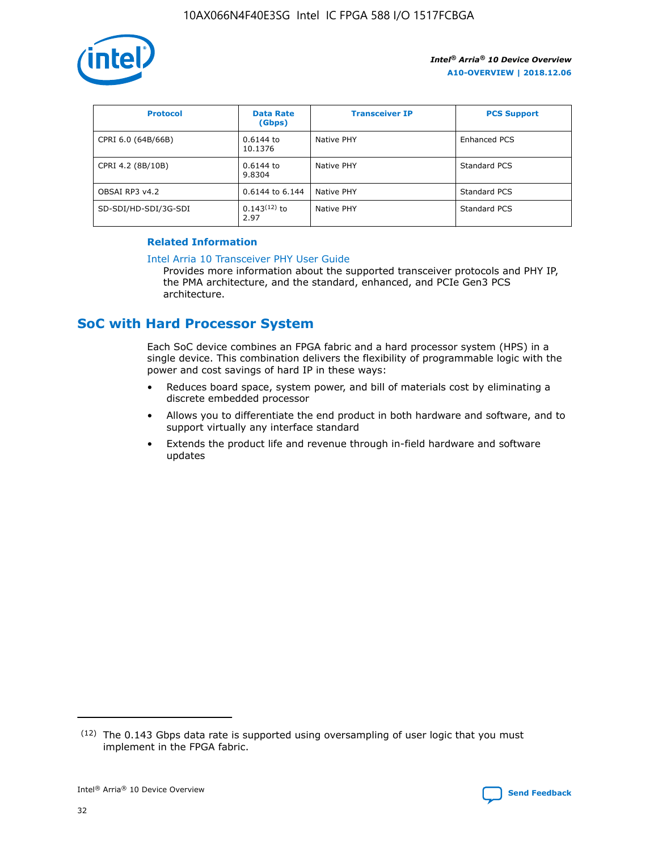

| <b>Protocol</b>      | <b>Data Rate</b><br>(Gbps) | <b>Transceiver IP</b> | <b>PCS Support</b> |
|----------------------|----------------------------|-----------------------|--------------------|
| CPRI 6.0 (64B/66B)   | 0.6144 to<br>10.1376       | Native PHY            | Enhanced PCS       |
| CPRI 4.2 (8B/10B)    | 0.6144 to<br>9.8304        | Native PHY            | Standard PCS       |
| OBSAI RP3 v4.2       | 0.6144 to 6.144            | Native PHY            | Standard PCS       |
| SD-SDI/HD-SDI/3G-SDI | $0.143(12)$ to<br>2.97     | Native PHY            | Standard PCS       |

## **Related Information**

#### [Intel Arria 10 Transceiver PHY User Guide](https://www.intel.com/content/www/us/en/programmable/documentation/nik1398707230472.html#nik1398707091164)

Provides more information about the supported transceiver protocols and PHY IP, the PMA architecture, and the standard, enhanced, and PCIe Gen3 PCS architecture.

# **SoC with Hard Processor System**

Each SoC device combines an FPGA fabric and a hard processor system (HPS) in a single device. This combination delivers the flexibility of programmable logic with the power and cost savings of hard IP in these ways:

- Reduces board space, system power, and bill of materials cost by eliminating a discrete embedded processor
- Allows you to differentiate the end product in both hardware and software, and to support virtually any interface standard
- Extends the product life and revenue through in-field hardware and software updates

 $(12)$  The 0.143 Gbps data rate is supported using oversampling of user logic that you must implement in the FPGA fabric.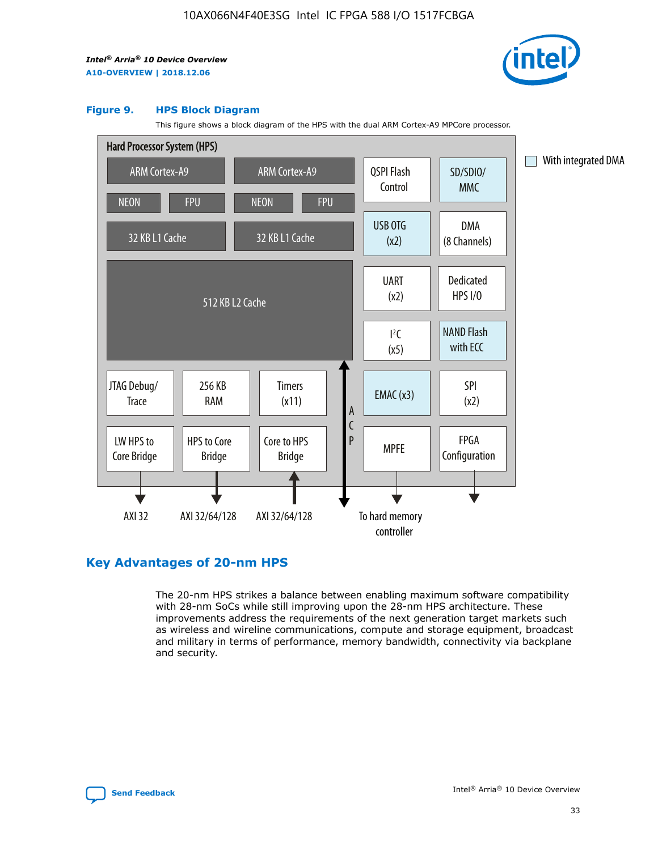

#### **Figure 9. HPS Block Diagram**

This figure shows a block diagram of the HPS with the dual ARM Cortex-A9 MPCore processor.



# **Key Advantages of 20-nm HPS**

The 20-nm HPS strikes a balance between enabling maximum software compatibility with 28-nm SoCs while still improving upon the 28-nm HPS architecture. These improvements address the requirements of the next generation target markets such as wireless and wireline communications, compute and storage equipment, broadcast and military in terms of performance, memory bandwidth, connectivity via backplane and security.

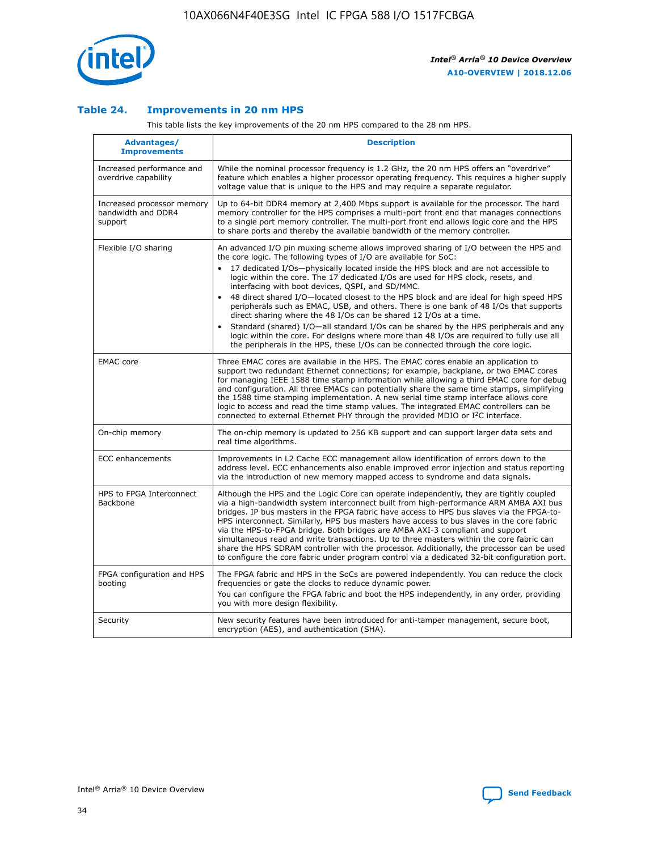

## **Table 24. Improvements in 20 nm HPS**

This table lists the key improvements of the 20 nm HPS compared to the 28 nm HPS.

| Advantages/<br><b>Improvements</b>                          | <b>Description</b>                                                                                                                                                                                                                                                                                                                                                                                                                                                                                                                                                                                                                                                                                                                                                                                                                                                                                                      |
|-------------------------------------------------------------|-------------------------------------------------------------------------------------------------------------------------------------------------------------------------------------------------------------------------------------------------------------------------------------------------------------------------------------------------------------------------------------------------------------------------------------------------------------------------------------------------------------------------------------------------------------------------------------------------------------------------------------------------------------------------------------------------------------------------------------------------------------------------------------------------------------------------------------------------------------------------------------------------------------------------|
| Increased performance and<br>overdrive capability           | While the nominal processor frequency is 1.2 GHz, the 20 nm HPS offers an "overdrive"<br>feature which enables a higher processor operating frequency. This requires a higher supply<br>voltage value that is unique to the HPS and may require a separate regulator.                                                                                                                                                                                                                                                                                                                                                                                                                                                                                                                                                                                                                                                   |
| Increased processor memory<br>bandwidth and DDR4<br>support | Up to 64-bit DDR4 memory at 2,400 Mbps support is available for the processor. The hard<br>memory controller for the HPS comprises a multi-port front end that manages connections<br>to a single port memory controller. The multi-port front end allows logic core and the HPS<br>to share ports and thereby the available bandwidth of the memory controller.                                                                                                                                                                                                                                                                                                                                                                                                                                                                                                                                                        |
| Flexible I/O sharing                                        | An advanced I/O pin muxing scheme allows improved sharing of I/O between the HPS and<br>the core logic. The following types of I/O are available for SoC:<br>17 dedicated I/Os-physically located inside the HPS block and are not accessible to<br>logic within the core. The 17 dedicated I/Os are used for HPS clock, resets, and<br>interfacing with boot devices, QSPI, and SD/MMC.<br>48 direct shared I/O-located closest to the HPS block and are ideal for high speed HPS<br>peripherals such as EMAC, USB, and others. There is one bank of 48 I/Os that supports<br>direct sharing where the 48 I/Os can be shared 12 I/Os at a time.<br>Standard (shared) I/O-all standard I/Os can be shared by the HPS peripherals and any<br>logic within the core. For designs where more than 48 I/Os are reguired to fully use all<br>the peripherals in the HPS, these I/Os can be connected through the core logic. |
| <b>EMAC</b> core                                            | Three EMAC cores are available in the HPS. The EMAC cores enable an application to<br>support two redundant Ethernet connections; for example, backplane, or two EMAC cores<br>for managing IEEE 1588 time stamp information while allowing a third EMAC core for debug<br>and configuration. All three EMACs can potentially share the same time stamps, simplifying<br>the 1588 time stamping implementation. A new serial time stamp interface allows core<br>logic to access and read the time stamp values. The integrated EMAC controllers can be<br>connected to external Ethernet PHY through the provided MDIO or I <sup>2</sup> C interface.                                                                                                                                                                                                                                                                  |
| On-chip memory                                              | The on-chip memory is updated to 256 KB support and can support larger data sets and<br>real time algorithms.                                                                                                                                                                                                                                                                                                                                                                                                                                                                                                                                                                                                                                                                                                                                                                                                           |
| <b>ECC</b> enhancements                                     | Improvements in L2 Cache ECC management allow identification of errors down to the<br>address level. ECC enhancements also enable improved error injection and status reporting<br>via the introduction of new memory mapped access to syndrome and data signals.                                                                                                                                                                                                                                                                                                                                                                                                                                                                                                                                                                                                                                                       |
| HPS to FPGA Interconnect<br>Backbone                        | Although the HPS and the Logic Core can operate independently, they are tightly coupled<br>via a high-bandwidth system interconnect built from high-performance ARM AMBA AXI bus<br>bridges. IP bus masters in the FPGA fabric have access to HPS bus slaves via the FPGA-to-<br>HPS interconnect. Similarly, HPS bus masters have access to bus slaves in the core fabric<br>via the HPS-to-FPGA bridge. Both bridges are AMBA AXI-3 compliant and support<br>simultaneous read and write transactions. Up to three masters within the core fabric can<br>share the HPS SDRAM controller with the processor. Additionally, the processor can be used<br>to configure the core fabric under program control via a dedicated 32-bit configuration port.                                                                                                                                                                  |
| FPGA configuration and HPS<br>booting                       | The FPGA fabric and HPS in the SoCs are powered independently. You can reduce the clock<br>frequencies or gate the clocks to reduce dynamic power.<br>You can configure the FPGA fabric and boot the HPS independently, in any order, providing<br>you with more design flexibility.                                                                                                                                                                                                                                                                                                                                                                                                                                                                                                                                                                                                                                    |
| Security                                                    | New security features have been introduced for anti-tamper management, secure boot,<br>encryption (AES), and authentication (SHA).                                                                                                                                                                                                                                                                                                                                                                                                                                                                                                                                                                                                                                                                                                                                                                                      |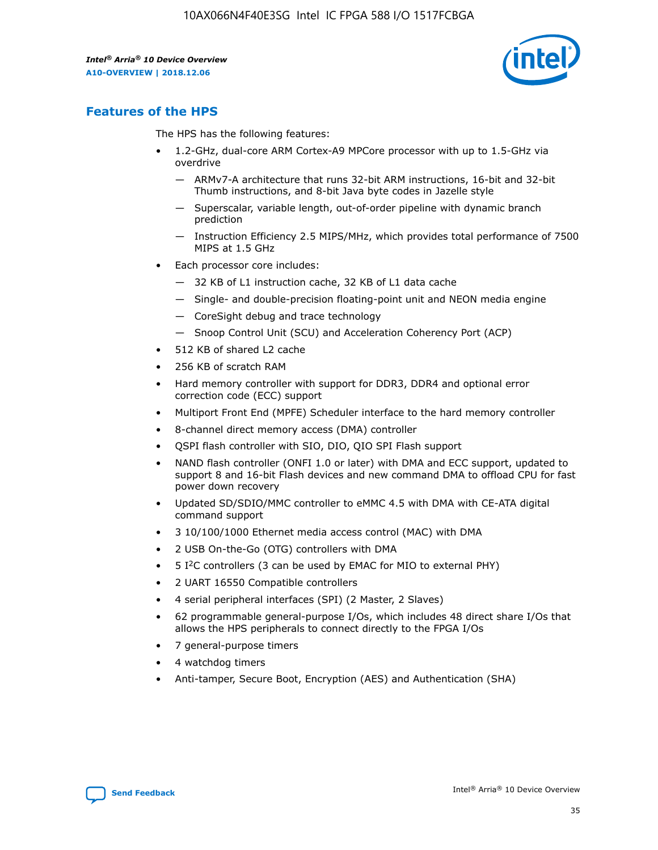

# **Features of the HPS**

The HPS has the following features:

- 1.2-GHz, dual-core ARM Cortex-A9 MPCore processor with up to 1.5-GHz via overdrive
	- ARMv7-A architecture that runs 32-bit ARM instructions, 16-bit and 32-bit Thumb instructions, and 8-bit Java byte codes in Jazelle style
	- Superscalar, variable length, out-of-order pipeline with dynamic branch prediction
	- Instruction Efficiency 2.5 MIPS/MHz, which provides total performance of 7500 MIPS at 1.5 GHz
- Each processor core includes:
	- 32 KB of L1 instruction cache, 32 KB of L1 data cache
	- Single- and double-precision floating-point unit and NEON media engine
	- CoreSight debug and trace technology
	- Snoop Control Unit (SCU) and Acceleration Coherency Port (ACP)
- 512 KB of shared L2 cache
- 256 KB of scratch RAM
- Hard memory controller with support for DDR3, DDR4 and optional error correction code (ECC) support
- Multiport Front End (MPFE) Scheduler interface to the hard memory controller
- 8-channel direct memory access (DMA) controller
- QSPI flash controller with SIO, DIO, QIO SPI Flash support
- NAND flash controller (ONFI 1.0 or later) with DMA and ECC support, updated to support 8 and 16-bit Flash devices and new command DMA to offload CPU for fast power down recovery
- Updated SD/SDIO/MMC controller to eMMC 4.5 with DMA with CE-ATA digital command support
- 3 10/100/1000 Ethernet media access control (MAC) with DMA
- 2 USB On-the-Go (OTG) controllers with DMA
- $\bullet$  5 I<sup>2</sup>C controllers (3 can be used by EMAC for MIO to external PHY)
- 2 UART 16550 Compatible controllers
- 4 serial peripheral interfaces (SPI) (2 Master, 2 Slaves)
- 62 programmable general-purpose I/Os, which includes 48 direct share I/Os that allows the HPS peripherals to connect directly to the FPGA I/Os
- 7 general-purpose timers
- 4 watchdog timers
- Anti-tamper, Secure Boot, Encryption (AES) and Authentication (SHA)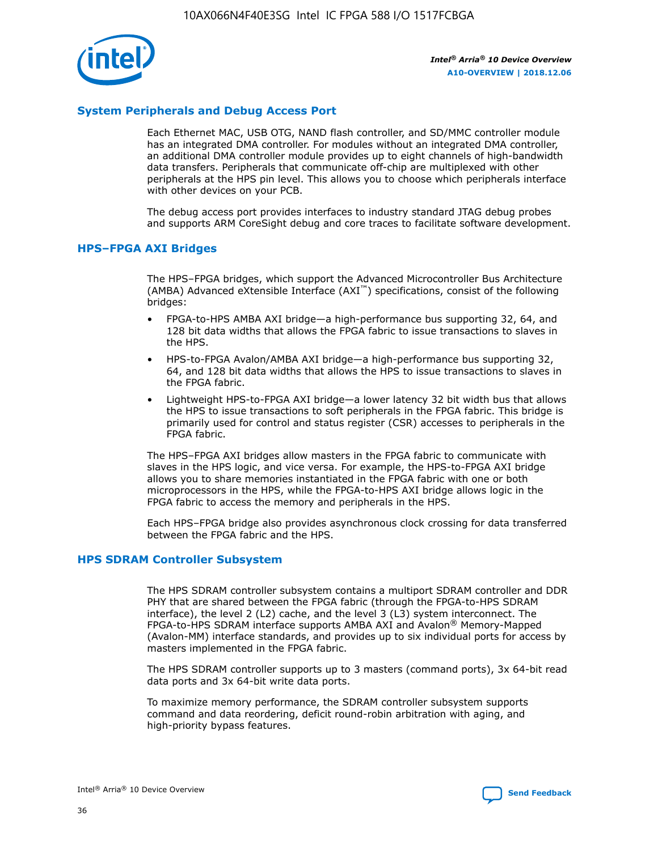

# **System Peripherals and Debug Access Port**

Each Ethernet MAC, USB OTG, NAND flash controller, and SD/MMC controller module has an integrated DMA controller. For modules without an integrated DMA controller, an additional DMA controller module provides up to eight channels of high-bandwidth data transfers. Peripherals that communicate off-chip are multiplexed with other peripherals at the HPS pin level. This allows you to choose which peripherals interface with other devices on your PCB.

The debug access port provides interfaces to industry standard JTAG debug probes and supports ARM CoreSight debug and core traces to facilitate software development.

#### **HPS–FPGA AXI Bridges**

The HPS–FPGA bridges, which support the Advanced Microcontroller Bus Architecture (AMBA) Advanced eXtensible Interface (AXI™) specifications, consist of the following bridges:

- FPGA-to-HPS AMBA AXI bridge—a high-performance bus supporting 32, 64, and 128 bit data widths that allows the FPGA fabric to issue transactions to slaves in the HPS.
- HPS-to-FPGA Avalon/AMBA AXI bridge—a high-performance bus supporting 32, 64, and 128 bit data widths that allows the HPS to issue transactions to slaves in the FPGA fabric.
- Lightweight HPS-to-FPGA AXI bridge—a lower latency 32 bit width bus that allows the HPS to issue transactions to soft peripherals in the FPGA fabric. This bridge is primarily used for control and status register (CSR) accesses to peripherals in the FPGA fabric.

The HPS–FPGA AXI bridges allow masters in the FPGA fabric to communicate with slaves in the HPS logic, and vice versa. For example, the HPS-to-FPGA AXI bridge allows you to share memories instantiated in the FPGA fabric with one or both microprocessors in the HPS, while the FPGA-to-HPS AXI bridge allows logic in the FPGA fabric to access the memory and peripherals in the HPS.

Each HPS–FPGA bridge also provides asynchronous clock crossing for data transferred between the FPGA fabric and the HPS.

#### **HPS SDRAM Controller Subsystem**

The HPS SDRAM controller subsystem contains a multiport SDRAM controller and DDR PHY that are shared between the FPGA fabric (through the FPGA-to-HPS SDRAM interface), the level 2 (L2) cache, and the level 3 (L3) system interconnect. The FPGA-to-HPS SDRAM interface supports AMBA AXI and Avalon® Memory-Mapped (Avalon-MM) interface standards, and provides up to six individual ports for access by masters implemented in the FPGA fabric.

The HPS SDRAM controller supports up to 3 masters (command ports), 3x 64-bit read data ports and 3x 64-bit write data ports.

To maximize memory performance, the SDRAM controller subsystem supports command and data reordering, deficit round-robin arbitration with aging, and high-priority bypass features.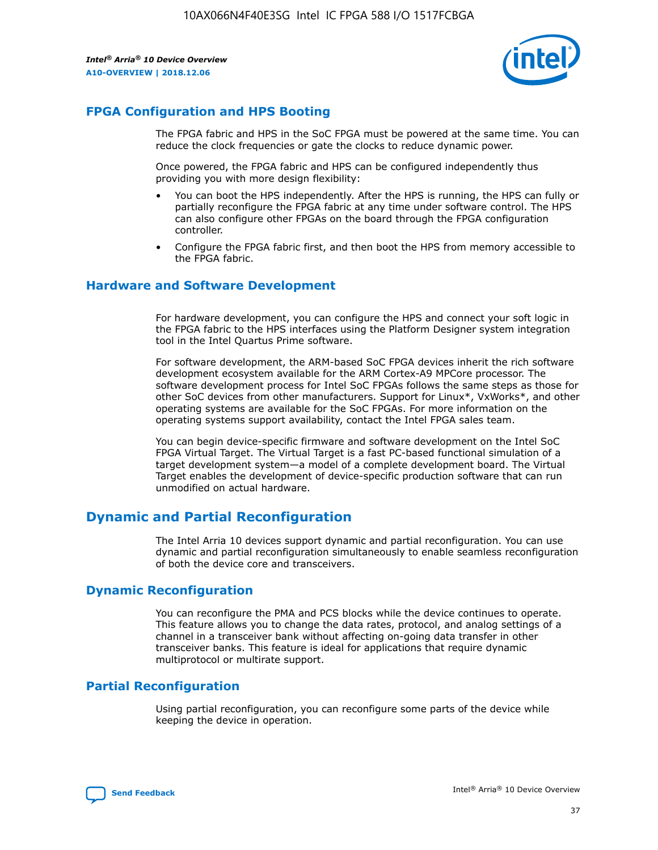

# **FPGA Configuration and HPS Booting**

The FPGA fabric and HPS in the SoC FPGA must be powered at the same time. You can reduce the clock frequencies or gate the clocks to reduce dynamic power.

Once powered, the FPGA fabric and HPS can be configured independently thus providing you with more design flexibility:

- You can boot the HPS independently. After the HPS is running, the HPS can fully or partially reconfigure the FPGA fabric at any time under software control. The HPS can also configure other FPGAs on the board through the FPGA configuration controller.
- Configure the FPGA fabric first, and then boot the HPS from memory accessible to the FPGA fabric.

## **Hardware and Software Development**

For hardware development, you can configure the HPS and connect your soft logic in the FPGA fabric to the HPS interfaces using the Platform Designer system integration tool in the Intel Quartus Prime software.

For software development, the ARM-based SoC FPGA devices inherit the rich software development ecosystem available for the ARM Cortex-A9 MPCore processor. The software development process for Intel SoC FPGAs follows the same steps as those for other SoC devices from other manufacturers. Support for Linux\*, VxWorks\*, and other operating systems are available for the SoC FPGAs. For more information on the operating systems support availability, contact the Intel FPGA sales team.

You can begin device-specific firmware and software development on the Intel SoC FPGA Virtual Target. The Virtual Target is a fast PC-based functional simulation of a target development system—a model of a complete development board. The Virtual Target enables the development of device-specific production software that can run unmodified on actual hardware.

# **Dynamic and Partial Reconfiguration**

The Intel Arria 10 devices support dynamic and partial reconfiguration. You can use dynamic and partial reconfiguration simultaneously to enable seamless reconfiguration of both the device core and transceivers.

# **Dynamic Reconfiguration**

You can reconfigure the PMA and PCS blocks while the device continues to operate. This feature allows you to change the data rates, protocol, and analog settings of a channel in a transceiver bank without affecting on-going data transfer in other transceiver banks. This feature is ideal for applications that require dynamic multiprotocol or multirate support.

# **Partial Reconfiguration**

Using partial reconfiguration, you can reconfigure some parts of the device while keeping the device in operation.

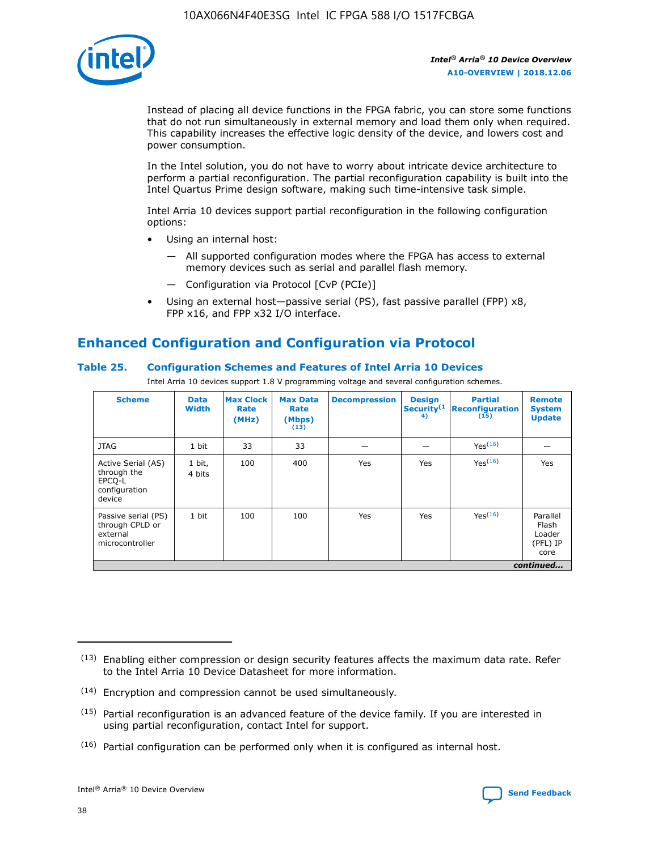

Instead of placing all device functions in the FPGA fabric, you can store some functions that do not run simultaneously in external memory and load them only when required. This capability increases the effective logic density of the device, and lowers cost and power consumption.

In the Intel solution, you do not have to worry about intricate device architecture to perform a partial reconfiguration. The partial reconfiguration capability is built into the Intel Quartus Prime design software, making such time-intensive task simple.

Intel Arria 10 devices support partial reconfiguration in the following configuration options:

- Using an internal host:
	- All supported configuration modes where the FPGA has access to external memory devices such as serial and parallel flash memory.
	- Configuration via Protocol [CvP (PCIe)]
- Using an external host—passive serial (PS), fast passive parallel (FPP) x8, FPP x16, and FPP x32 I/O interface.

# **Enhanced Configuration and Configuration via Protocol**

## **Table 25. Configuration Schemes and Features of Intel Arria 10 Devices**

Intel Arria 10 devices support 1.8 V programming voltage and several configuration schemes.

| <b>Scheme</b>                                                          | <b>Data</b><br><b>Width</b> | <b>Max Clock</b><br>Rate<br>(MHz) | <b>Max Data</b><br>Rate<br>(Mbps)<br>(13) | <b>Decompression</b> | <b>Design</b><br>Security <sup>(1</sup><br>4) | <b>Partial</b><br>Reconfiguration<br>(15) | <b>Remote</b><br><b>System</b><br><b>Update</b> |
|------------------------------------------------------------------------|-----------------------------|-----------------------------------|-------------------------------------------|----------------------|-----------------------------------------------|-------------------------------------------|-------------------------------------------------|
| <b>JTAG</b>                                                            | 1 bit                       | 33                                | 33                                        |                      |                                               | Yes <sup>(16)</sup>                       |                                                 |
| Active Serial (AS)<br>through the<br>EPCO-L<br>configuration<br>device | 1 bit,<br>4 bits            | 100                               | 400                                       | Yes                  | Yes                                           | $Y_{PS}(16)$                              | Yes                                             |
| Passive serial (PS)<br>through CPLD or<br>external<br>microcontroller  | 1 bit                       | 100                               | 100                                       | Yes                  | Yes                                           | Yes(16)                                   | Parallel<br>Flash<br>Loader<br>(PFL) IP<br>core |
|                                                                        |                             |                                   |                                           |                      |                                               |                                           | continued                                       |

<sup>(13)</sup> Enabling either compression or design security features affects the maximum data rate. Refer to the Intel Arria 10 Device Datasheet for more information.

<sup>(14)</sup> Encryption and compression cannot be used simultaneously.

 $(15)$  Partial reconfiguration is an advanced feature of the device family. If you are interested in using partial reconfiguration, contact Intel for support.

 $(16)$  Partial configuration can be performed only when it is configured as internal host.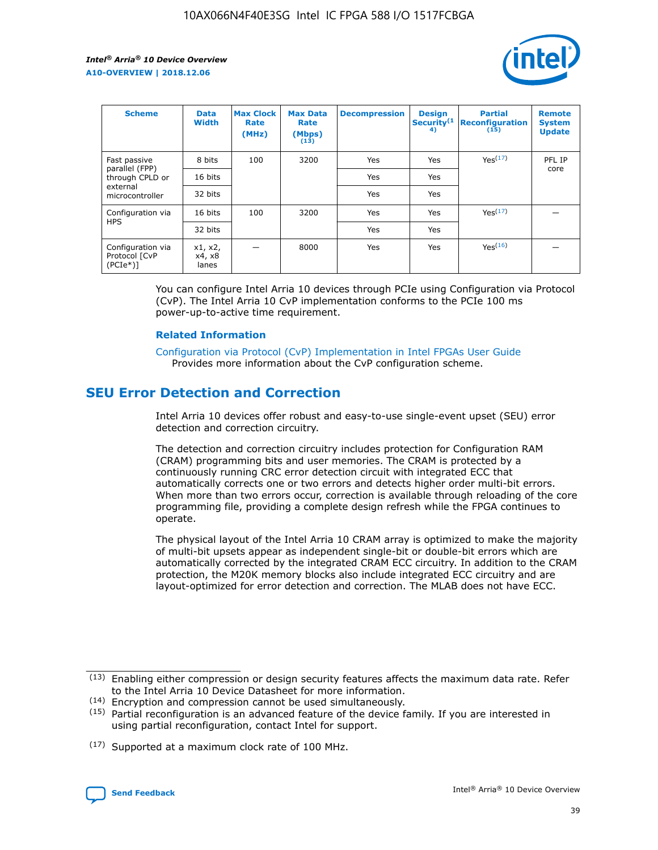

| <b>Scheme</b>                                    | <b>Data</b><br><b>Width</b> | <b>Max Clock</b><br>Rate<br>(MHz) | <b>Max Data</b><br>Rate<br>(Mbps)<br>(13) | <b>Decompression</b> | <b>Design</b><br>Security <sup>(1</sup><br>4) | <b>Partial</b><br><b>Reconfiguration</b><br>(15) | <b>Remote</b><br><b>System</b><br><b>Update</b> |
|--------------------------------------------------|-----------------------------|-----------------------------------|-------------------------------------------|----------------------|-----------------------------------------------|--------------------------------------------------|-------------------------------------------------|
| Fast passive                                     | 8 bits                      | 100                               | 3200                                      | Yes                  | Yes                                           | Yes(17)                                          | PFL IP                                          |
| parallel (FPP)<br>through CPLD or                | 16 bits                     |                                   |                                           | Yes                  | Yes                                           |                                                  | core                                            |
| external<br>microcontroller                      | 32 bits                     |                                   |                                           | Yes                  | Yes                                           |                                                  |                                                 |
| Configuration via                                | 16 bits                     | 100                               | 3200                                      | Yes                  | Yes                                           | Yes <sup>(17)</sup>                              |                                                 |
| <b>HPS</b>                                       | 32 bits                     |                                   |                                           | Yes                  | Yes                                           |                                                  |                                                 |
| Configuration via<br>Protocol [CvP<br>$(PCIe^*)$ | x1, x2,<br>x4, x8<br>lanes  |                                   | 8000                                      | Yes                  | Yes                                           | Yes <sup>(16)</sup>                              |                                                 |

You can configure Intel Arria 10 devices through PCIe using Configuration via Protocol (CvP). The Intel Arria 10 CvP implementation conforms to the PCIe 100 ms power-up-to-active time requirement.

#### **Related Information**

[Configuration via Protocol \(CvP\) Implementation in Intel FPGAs User Guide](https://www.intel.com/content/www/us/en/programmable/documentation/dsu1441819344145.html#dsu1442269728522) Provides more information about the CvP configuration scheme.

# **SEU Error Detection and Correction**

Intel Arria 10 devices offer robust and easy-to-use single-event upset (SEU) error detection and correction circuitry.

The detection and correction circuitry includes protection for Configuration RAM (CRAM) programming bits and user memories. The CRAM is protected by a continuously running CRC error detection circuit with integrated ECC that automatically corrects one or two errors and detects higher order multi-bit errors. When more than two errors occur, correction is available through reloading of the core programming file, providing a complete design refresh while the FPGA continues to operate.

The physical layout of the Intel Arria 10 CRAM array is optimized to make the majority of multi-bit upsets appear as independent single-bit or double-bit errors which are automatically corrected by the integrated CRAM ECC circuitry. In addition to the CRAM protection, the M20K memory blocks also include integrated ECC circuitry and are layout-optimized for error detection and correction. The MLAB does not have ECC.

(14) Encryption and compression cannot be used simultaneously.

<sup>(17)</sup> Supported at a maximum clock rate of 100 MHz.



 $(13)$  Enabling either compression or design security features affects the maximum data rate. Refer to the Intel Arria 10 Device Datasheet for more information.

 $(15)$  Partial reconfiguration is an advanced feature of the device family. If you are interested in using partial reconfiguration, contact Intel for support.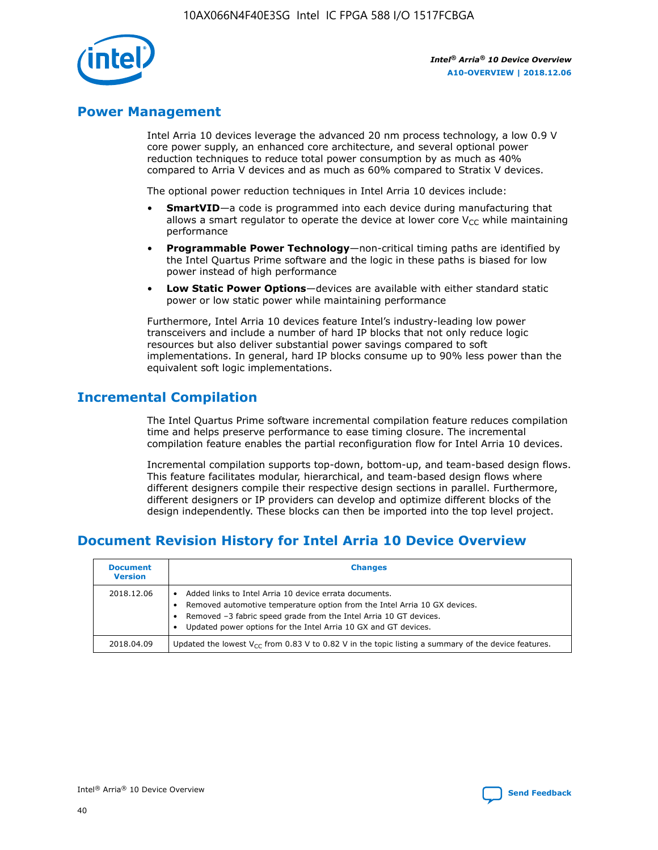

# **Power Management**

Intel Arria 10 devices leverage the advanced 20 nm process technology, a low 0.9 V core power supply, an enhanced core architecture, and several optional power reduction techniques to reduce total power consumption by as much as 40% compared to Arria V devices and as much as 60% compared to Stratix V devices.

The optional power reduction techniques in Intel Arria 10 devices include:

- **SmartVID**—a code is programmed into each device during manufacturing that allows a smart regulator to operate the device at lower core  $V_{CC}$  while maintaining performance
- **Programmable Power Technology**—non-critical timing paths are identified by the Intel Quartus Prime software and the logic in these paths is biased for low power instead of high performance
- **Low Static Power Options**—devices are available with either standard static power or low static power while maintaining performance

Furthermore, Intel Arria 10 devices feature Intel's industry-leading low power transceivers and include a number of hard IP blocks that not only reduce logic resources but also deliver substantial power savings compared to soft implementations. In general, hard IP blocks consume up to 90% less power than the equivalent soft logic implementations.

# **Incremental Compilation**

The Intel Quartus Prime software incremental compilation feature reduces compilation time and helps preserve performance to ease timing closure. The incremental compilation feature enables the partial reconfiguration flow for Intel Arria 10 devices.

Incremental compilation supports top-down, bottom-up, and team-based design flows. This feature facilitates modular, hierarchical, and team-based design flows where different designers compile their respective design sections in parallel. Furthermore, different designers or IP providers can develop and optimize different blocks of the design independently. These blocks can then be imported into the top level project.

# **Document Revision History for Intel Arria 10 Device Overview**

| <b>Document</b><br><b>Version</b> | <b>Changes</b>                                                                                                                                                                                                                                                              |
|-----------------------------------|-----------------------------------------------------------------------------------------------------------------------------------------------------------------------------------------------------------------------------------------------------------------------------|
| 2018.12.06                        | Added links to Intel Arria 10 device errata documents.<br>Removed automotive temperature option from the Intel Arria 10 GX devices.<br>Removed -3 fabric speed grade from the Intel Arria 10 GT devices.<br>Updated power options for the Intel Arria 10 GX and GT devices. |
| 2018.04.09                        | Updated the lowest $V_{CC}$ from 0.83 V to 0.82 V in the topic listing a summary of the device features.                                                                                                                                                                    |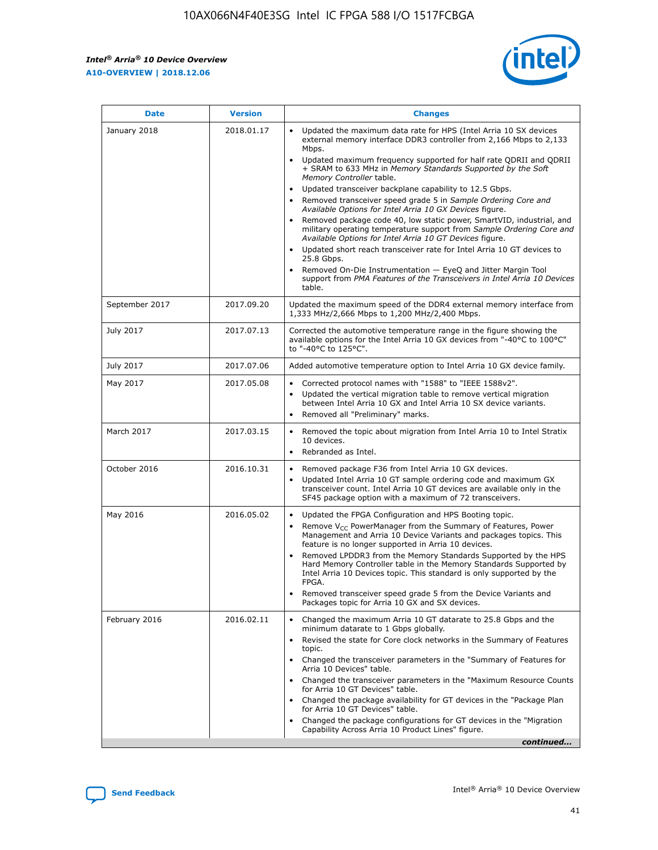

| <b>Date</b>    | <b>Version</b> | <b>Changes</b>                                                                                                                                                                                                                                                                                                                                                                                                                                                                                                                                                                                                                                                                                                                                                                                                                                                                                                                                               |
|----------------|----------------|--------------------------------------------------------------------------------------------------------------------------------------------------------------------------------------------------------------------------------------------------------------------------------------------------------------------------------------------------------------------------------------------------------------------------------------------------------------------------------------------------------------------------------------------------------------------------------------------------------------------------------------------------------------------------------------------------------------------------------------------------------------------------------------------------------------------------------------------------------------------------------------------------------------------------------------------------------------|
| January 2018   | 2018.01.17     | Updated the maximum data rate for HPS (Intel Arria 10 SX devices<br>external memory interface DDR3 controller from 2,166 Mbps to 2,133<br>Mbps.<br>Updated maximum frequency supported for half rate QDRII and QDRII<br>+ SRAM to 633 MHz in Memory Standards Supported by the Soft<br>Memory Controller table.<br>Updated transceiver backplane capability to 12.5 Gbps.<br>Removed transceiver speed grade 5 in Sample Ordering Core and<br>Available Options for Intel Arria 10 GX Devices figure.<br>Removed package code 40, low static power, SmartVID, industrial, and<br>military operating temperature support from Sample Ordering Core and<br>Available Options for Intel Arria 10 GT Devices figure.<br>Updated short reach transceiver rate for Intel Arria 10 GT devices to<br>25.8 Gbps.<br>Removed On-Die Instrumentation - EyeQ and Jitter Margin Tool<br>support from PMA Features of the Transceivers in Intel Arria 10 Devices<br>table. |
| September 2017 | 2017.09.20     | Updated the maximum speed of the DDR4 external memory interface from<br>1,333 MHz/2,666 Mbps to 1,200 MHz/2,400 Mbps.                                                                                                                                                                                                                                                                                                                                                                                                                                                                                                                                                                                                                                                                                                                                                                                                                                        |
| July 2017      | 2017.07.13     | Corrected the automotive temperature range in the figure showing the<br>available options for the Intel Arria 10 GX devices from "-40°C to 100°C"<br>to "-40°C to 125°C".                                                                                                                                                                                                                                                                                                                                                                                                                                                                                                                                                                                                                                                                                                                                                                                    |
| July 2017      | 2017.07.06     | Added automotive temperature option to Intel Arria 10 GX device family.                                                                                                                                                                                                                                                                                                                                                                                                                                                                                                                                                                                                                                                                                                                                                                                                                                                                                      |
| May 2017       | 2017.05.08     | Corrected protocol names with "1588" to "IEEE 1588v2".<br>$\bullet$<br>Updated the vertical migration table to remove vertical migration<br>$\bullet$<br>between Intel Arria 10 GX and Intel Arria 10 SX device variants.<br>Removed all "Preliminary" marks.<br>$\bullet$                                                                                                                                                                                                                                                                                                                                                                                                                                                                                                                                                                                                                                                                                   |
| March 2017     | 2017.03.15     | Removed the topic about migration from Intel Arria 10 to Intel Stratix<br>$\bullet$<br>10 devices.<br>Rebranded as Intel.<br>$\bullet$                                                                                                                                                                                                                                                                                                                                                                                                                                                                                                                                                                                                                                                                                                                                                                                                                       |
| October 2016   | 2016.10.31     | Removed package F36 from Intel Arria 10 GX devices.<br>Updated Intel Arria 10 GT sample ordering code and maximum GX<br>$\bullet$<br>transceiver count. Intel Arria 10 GT devices are available only in the<br>SF45 package option with a maximum of 72 transceivers.                                                                                                                                                                                                                                                                                                                                                                                                                                                                                                                                                                                                                                                                                        |
| May 2016       | 2016.05.02     | Updated the FPGA Configuration and HPS Booting topic.<br>$\bullet$<br>Remove V <sub>CC</sub> PowerManager from the Summary of Features, Power<br>Management and Arria 10 Device Variants and packages topics. This<br>feature is no longer supported in Arria 10 devices.<br>Removed LPDDR3 from the Memory Standards Supported by the HPS<br>Hard Memory Controller table in the Memory Standards Supported by<br>Intel Arria 10 Devices topic. This standard is only supported by the<br><b>FPGA</b><br>Removed transceiver speed grade 5 from the Device Variants and<br>Packages topic for Arria 10 GX and SX devices.                                                                                                                                                                                                                                                                                                                                   |
| February 2016  | 2016.02.11     | Changed the maximum Arria 10 GT datarate to 25.8 Gbps and the<br>$\bullet$<br>minimum datarate to 1 Gbps globally.<br>Revised the state for Core clock networks in the Summary of Features<br>$\bullet$<br>topic.<br>Changed the transceiver parameters in the "Summary of Features for<br>$\bullet$<br>Arria 10 Devices" table.<br>Changed the transceiver parameters in the "Maximum Resource Counts<br>for Arria 10 GT Devices" table.<br>Changed the package availability for GT devices in the "Package Plan<br>for Arria 10 GT Devices" table.<br>Changed the package configurations for GT devices in the "Migration"<br>Capability Across Arria 10 Product Lines" figure.<br>continued                                                                                                                                                                                                                                                               |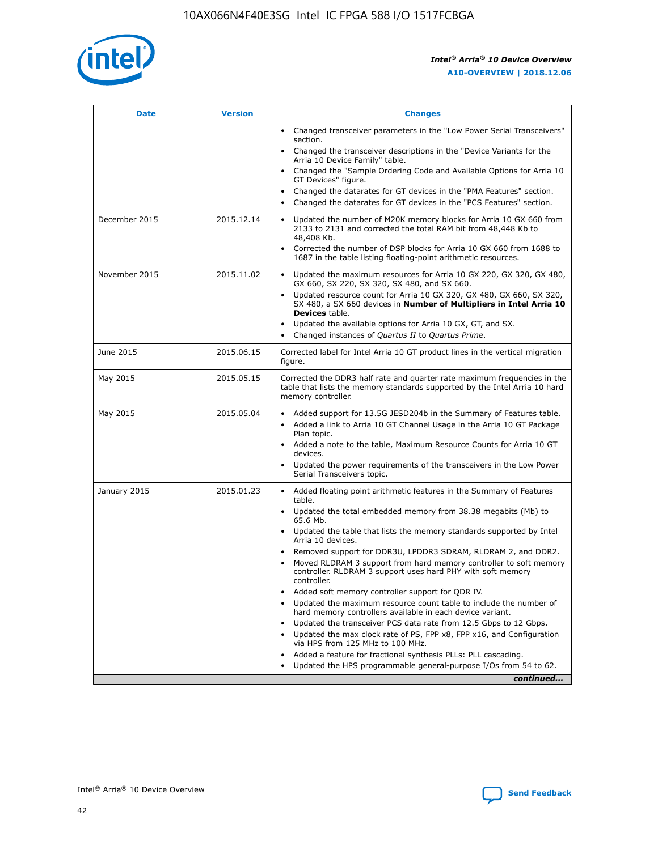

| <b>Date</b>   | <b>Version</b> | <b>Changes</b>                                                                                                                                                               |
|---------------|----------------|------------------------------------------------------------------------------------------------------------------------------------------------------------------------------|
|               |                | Changed transceiver parameters in the "Low Power Serial Transceivers"<br>$\bullet$<br>section.                                                                               |
|               |                | • Changed the transceiver descriptions in the "Device Variants for the<br>Arria 10 Device Family" table.                                                                     |
|               |                | Changed the "Sample Ordering Code and Available Options for Arria 10<br>$\bullet$<br>GT Devices" figure.                                                                     |
|               |                | Changed the datarates for GT devices in the "PMA Features" section.                                                                                                          |
|               |                | Changed the datarates for GT devices in the "PCS Features" section.<br>$\bullet$                                                                                             |
| December 2015 | 2015.12.14     | Updated the number of M20K memory blocks for Arria 10 GX 660 from<br>2133 to 2131 and corrected the total RAM bit from 48,448 Kb to<br>48,408 Kb.                            |
|               |                | • Corrected the number of DSP blocks for Arria 10 GX 660 from 1688 to<br>1687 in the table listing floating-point arithmetic resources.                                      |
| November 2015 | 2015.11.02     | Updated the maximum resources for Arria 10 GX 220, GX 320, GX 480,<br>$\bullet$<br>GX 660, SX 220, SX 320, SX 480, and SX 660.                                               |
|               |                | Updated resource count for Arria 10 GX 320, GX 480, GX 660, SX 320,<br>SX 480, a SX 660 devices in Number of Multipliers in Intel Arria 10<br><b>Devices</b> table.          |
|               |                | Updated the available options for Arria 10 GX, GT, and SX.<br>$\bullet$                                                                                                      |
|               |                | Changed instances of Quartus II to Quartus Prime.<br>$\bullet$                                                                                                               |
| June 2015     | 2015.06.15     | Corrected label for Intel Arria 10 GT product lines in the vertical migration<br>figure.                                                                                     |
| May 2015      | 2015.05.15     | Corrected the DDR3 half rate and quarter rate maximum frequencies in the<br>table that lists the memory standards supported by the Intel Arria 10 hard<br>memory controller. |
| May 2015      | 2015.05.04     | Added support for 13.5G JESD204b in the Summary of Features table.<br>$\bullet$<br>Added a link to Arria 10 GT Channel Usage in the Arria 10 GT Package                      |
|               |                | Plan topic.<br>• Added a note to the table, Maximum Resource Counts for Arria 10 GT                                                                                          |
|               |                | devices.                                                                                                                                                                     |
|               |                | Updated the power requirements of the transceivers in the Low Power<br>Serial Transceivers topic.                                                                            |
| January 2015  | 2015.01.23     | • Added floating point arithmetic features in the Summary of Features<br>table.                                                                                              |
|               |                | Updated the total embedded memory from 38.38 megabits (Mb) to<br>$\bullet$<br>65.6 Mb.                                                                                       |
|               |                | Updated the table that lists the memory standards supported by Intel<br>$\bullet$<br>Arria 10 devices.                                                                       |
|               |                | Removed support for DDR3U, LPDDR3 SDRAM, RLDRAM 2, and DDR2.                                                                                                                 |
|               |                | Moved RLDRAM 3 support from hard memory controller to soft memory<br>$\bullet$<br>controller. RLDRAM 3 support uses hard PHY with soft memory<br>controller.                 |
|               |                | Added soft memory controller support for QDR IV.                                                                                                                             |
|               |                | Updated the maximum resource count table to include the number of<br>$\bullet$<br>hard memory controllers available in each device variant.                                  |
|               |                | Updated the transceiver PCS data rate from 12.5 Gbps to 12 Gbps.                                                                                                             |
|               |                | Updated the max clock rate of PS, FPP x8, FPP x16, and Configuration<br>$\bullet$<br>via HPS from 125 MHz to 100 MHz.                                                        |
|               |                | Added a feature for fractional synthesis PLLs: PLL cascading.                                                                                                                |
|               |                | Updated the HPS programmable general-purpose I/Os from 54 to 62.<br>$\bullet$                                                                                                |
|               |                | continued                                                                                                                                                                    |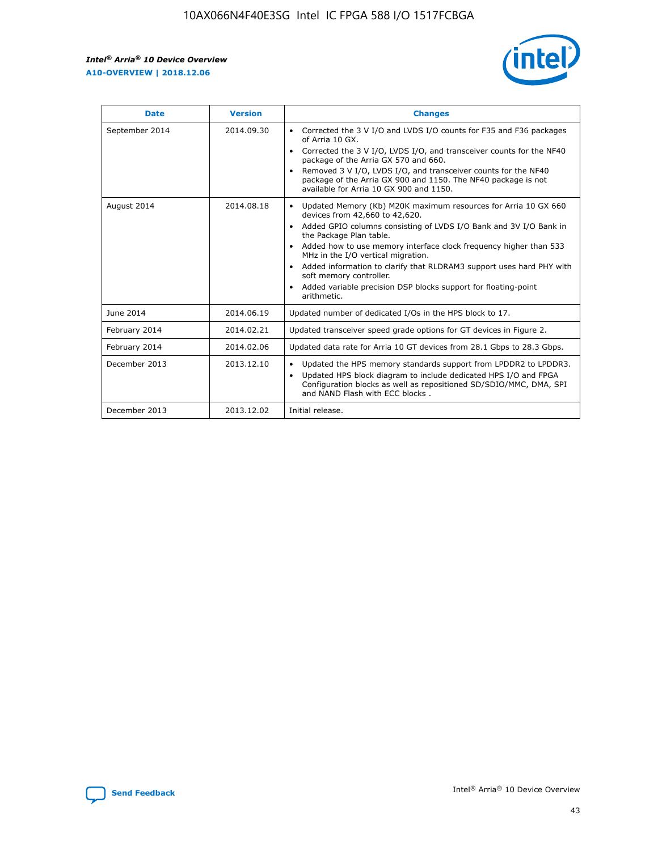r



| <b>Date</b>    | <b>Version</b> | <b>Changes</b>                                                                                                                                                                                                                                                                                                                                                                                                                                                                                                                                      |
|----------------|----------------|-----------------------------------------------------------------------------------------------------------------------------------------------------------------------------------------------------------------------------------------------------------------------------------------------------------------------------------------------------------------------------------------------------------------------------------------------------------------------------------------------------------------------------------------------------|
| September 2014 | 2014.09.30     | Corrected the 3 V I/O and LVDS I/O counts for F35 and F36 packages<br>$\bullet$<br>of Arria 10 GX.<br>Corrected the 3 V I/O, LVDS I/O, and transceiver counts for the NF40<br>$\bullet$<br>package of the Arria GX 570 and 660.<br>Removed 3 V I/O, LVDS I/O, and transceiver counts for the NF40<br>package of the Arria GX 900 and 1150. The NF40 package is not<br>available for Arria 10 GX 900 and 1150.                                                                                                                                       |
| August 2014    | 2014.08.18     | Updated Memory (Kb) M20K maximum resources for Arria 10 GX 660<br>devices from 42,660 to 42,620.<br>Added GPIO columns consisting of LVDS I/O Bank and 3V I/O Bank in<br>$\bullet$<br>the Package Plan table.<br>Added how to use memory interface clock frequency higher than 533<br>$\bullet$<br>MHz in the I/O vertical migration.<br>Added information to clarify that RLDRAM3 support uses hard PHY with<br>$\bullet$<br>soft memory controller.<br>Added variable precision DSP blocks support for floating-point<br>$\bullet$<br>arithmetic. |
| June 2014      | 2014.06.19     | Updated number of dedicated I/Os in the HPS block to 17.                                                                                                                                                                                                                                                                                                                                                                                                                                                                                            |
| February 2014  | 2014.02.21     | Updated transceiver speed grade options for GT devices in Figure 2.                                                                                                                                                                                                                                                                                                                                                                                                                                                                                 |
| February 2014  | 2014.02.06     | Updated data rate for Arria 10 GT devices from 28.1 Gbps to 28.3 Gbps.                                                                                                                                                                                                                                                                                                                                                                                                                                                                              |
| December 2013  | 2013.12.10     | Updated the HPS memory standards support from LPDDR2 to LPDDR3.<br>Updated HPS block diagram to include dedicated HPS I/O and FPGA<br>$\bullet$<br>Configuration blocks as well as repositioned SD/SDIO/MMC, DMA, SPI<br>and NAND Flash with ECC blocks.                                                                                                                                                                                                                                                                                            |
| December 2013  | 2013.12.02     | Initial release.                                                                                                                                                                                                                                                                                                                                                                                                                                                                                                                                    |